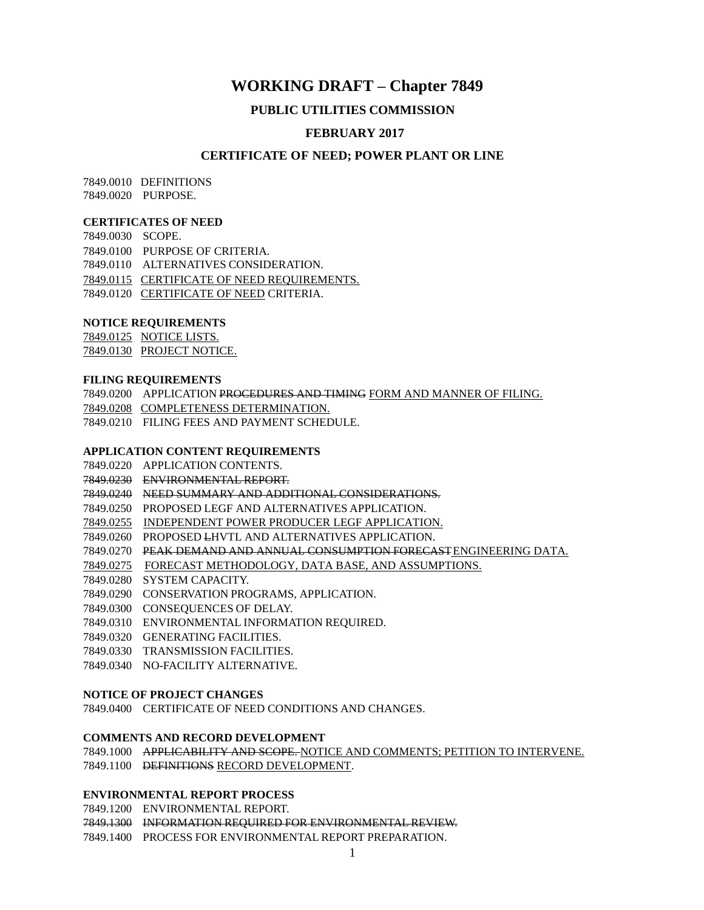### **WORKING DRAFT – Chapter 7849**

#### **PUBLIC UTILITIES COMMISSION**

### **FEBRUARY 2017**

#### **CERTIFICATE OF NEED; POWER PLANT OR LINE**

7849.0010 DEFINITIONS 7849.0020 PURPOSE.

#### **CERTIFICATES OF NEED**

7849.0030 SCOPE. 7849.0100 PURPOSE OF CRITERIA. 7849.0110 ALTERNATIVES CONSIDERATION. 7849.0115 CERTIFICATE OF NEED REQUIREMENTS. 7849.0120 CERTIFICATE OF NEED CRITERIA.

#### **NOTICE REQUIREMENTS**

7849.0125 NOTICE LISTS. 7849.0130 PROJECT NOTICE.

#### **FILING REQUIREMENTS**

7849.0200 APPLICATION PROCEDURES AND TIMING FORM AND MANNER OF FILING. 7849.0208 COMPLETENESS DETERMINATION. 7849.0210 FILING FEES AND PAYMENT SCHEDULE.

#### **APPLICATION CONTENT REQUIREMENTS**

- 7849.0220 APPLICATION CONTENTS.
- 7849.0230 ENVIRONMENTAL REPORT.

7849.0240 NEED SUMMARY AND ADDITIONAL CONSIDERATIONS.

7849.0250 PROPOSED LEGF AND ALTERNATIVES APPLICATION.

7849.0255 INDEPENDENT POWER PRODUCER LEGF APPLICATION.

7849.0260 PROPOSED LHVTL AND ALTERNATIVES APPLICATION.

7849.0270 PEAK DEMAND AND ANNUAL CONSUMPTION FORECASTENGINEERING DATA.

- 7849.0275 FORECAST METHODOLOGY, DATA BASE, AND ASSUMPTIONS.
- 7849.0280 SYSTEM CAPACITY.

7849.0290 CONSERVATION PROGRAMS, APPLICATION.

7849.0300 CONSEQUENCES OF DELAY.

7849.0310 ENVIRONMENTAL INFORMATION REQUIRED.

- 7849.0320 GENERATING FACILITIES.
- 7849.0330 TRANSMISSION FACILITIES.

7849.0340 NO-FACILITY ALTERNATIVE.

#### **NOTICE OF PROJECT CHANGES**

7849.0400 CERTIFICATE OF NEED CONDITIONS AND CHANGES.

#### **COMMENTS AND RECORD DEVELOPMENT**

7849.1000 APPLICABILITY AND SCOPE. NOTICE AND COMMENTS; PETITION TO INTERVENE. 7849.1100 DEFINITIONS RECORD DEVELOPMENT.

#### **ENVIRONMENTAL REPORT PROCESS**

7849.1200 ENVIRONMENTAL REPORT. 7849.1300 INFORMATION REQUIRED FOR ENVIRONMENTAL REVIEW. 7849.1400 PROCESS FOR ENVIRONMENTAL REPORT PREPARATION.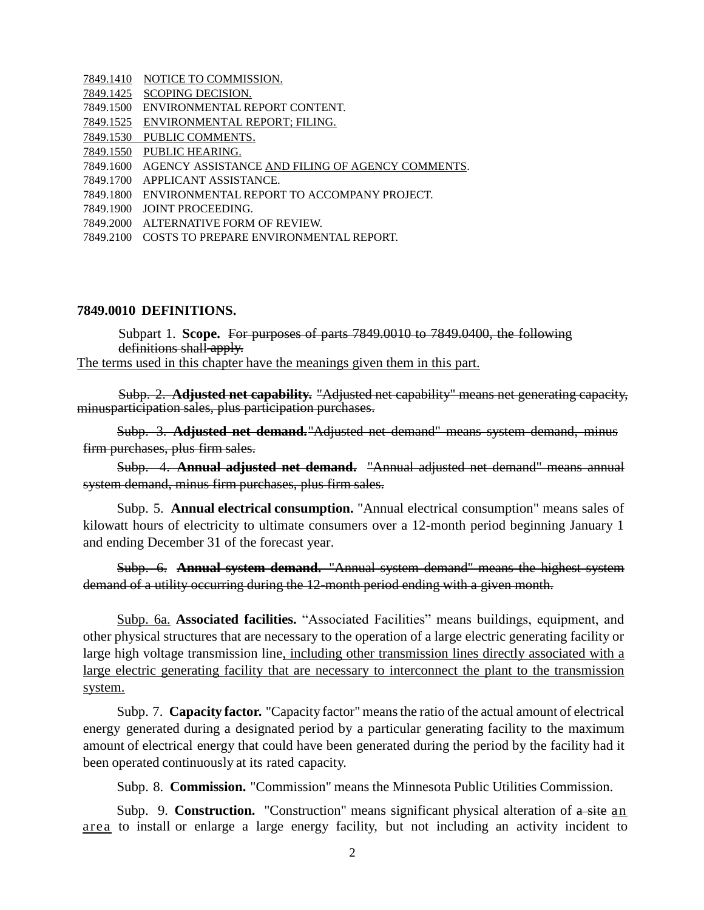|           | 7849.1410 NOTICE TO COMMISSION.                            |
|-----------|------------------------------------------------------------|
|           | 7849.1425 SCOPING DECISION.                                |
|           | 7849.1500 ENVIRONMENTAL REPORT CONTENT.                    |
|           | 7849.1525 ENVIRONMENTAL REPORT; FILING.                    |
| 7849.1530 | PUBLIC COMMENTS.                                           |
|           | 7849.1550 PUBLIC HEARING.                                  |
|           | 7849.1600 AGENCY ASSISTANCE AND FILING OF AGENCY COMMENTS. |
|           | 7849.1700 APPLICANT ASSISTANCE.                            |
|           | 7849.1800 ENVIRONMENTAL REPORT TO ACCOMPANY PROJECT.       |
|           | 7849.1900 JOINT PROCEEDING.                                |
|           | 7849.2000 ALTERNATIVE FORM OF REVIEW.                      |
|           | 7849.2100 COSTS TO PREPARE ENVIRONMENTAL REPORT.           |

#### **7849.0010 DEFINITIONS.**

Subpart 1. **Scope.** For purposes of parts 7849.0010 to 7849.0400, the following definitions shall apply. The terms used in this chapter have the meanings given them in this part.

Subp. 2. **Adjusted net capability.** "Adjusted net capability" means net generating capacity, minusparticipation sales, plus participation purchases.

Subp. 3. **Adjusted net demand.**"Adjusted net demand" means system demand, minus firm purchases, plus firm sales.

Subp. 4. **Annual adjusted net demand.** "Annual adjusted net demand" means annual system demand, minus firm purchases, plus firm sales.

Subp. 5. **Annual electrical consumption.** "Annual electrical consumption" means sales of kilowatt hours of electricity to ultimate consumers over a 12-month period beginning January 1 and ending December 31 of the forecast year.

Subp. 6. **Annual system demand.** "Annual system demand" means the highest system demand of a utility occurring during the 12-month period ending with a given month.

Subp. 6a. **Associated facilities.** "Associated Facilities" means buildings, equipment, and other physical structures that are necessary to the operation of a large electric generating facility or large high voltage transmission line, including other transmission lines directly associated with a large electric generating facility that are necessary to interconnect the plant to the transmission system.

Subp. 7. **Capacity factor.** "Capacity factor" meansthe ratio of the actual amount of electrical energy generated during a designated period by a particular generating facility to the maximum amount of electrical energy that could have been generated during the period by the facility had it been operated continuously at its rated capacity.

Subp. 8. **Commission.** "Commission" means the Minnesota Public Utilities Commission.

Subp. 9. **Construction.** "Construction" means significant physical alteration of  $\overline{a}$  site an area to install or enlarge a large energy facility, but not including an activity incident to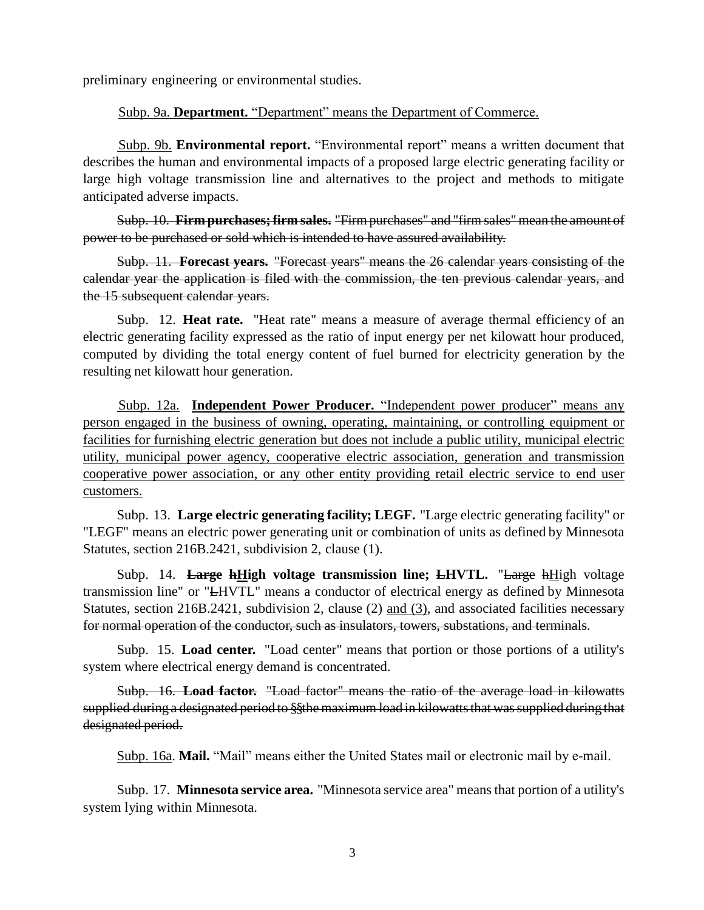preliminary engineering or environmental studies.

Subp. 9a. **Department.** "Department" means the Department of Commerce.

Subp. 9b. **Environmental report.** "Environmental report" means a written document that describes the human and environmental impacts of a proposed large electric generating facility or large high voltage transmission line and alternatives to the project and methods to mitigate anticipated adverse impacts.

Subp. 10. **Firm purchases;firm sales.** "Firm purchases" and "firm sales"mean the amount of power to be purchased or sold which is intended to have assured availability.

Subp. 11. **Forecast years.** "Forecast years" means the 26 calendar years consisting of the calendar year the application is filed with the commission, the ten previous calendar years, and the 15 subsequent calendar years.

Subp. 12. **Heat rate.** "Heat rate" means a measure of average thermal efficiency of an electric generating facility expressed as the ratio of input energy per net kilowatt hour produced, computed by dividing the total energy content of fuel burned for electricity generation by the resulting net kilowatt hour generation.

Subp. 12a. **Independent Power Producer.** "Independent power producer" means any person engaged in the business of owning, operating, maintaining, or controlling equipment or facilities for furnishing electric generation but does not include a public utility, municipal electric utility, municipal power agency, cooperative electric association, generation and transmission cooperative power association, or any other entity providing retail electric service to end user customers.

Subp. 13. **Large electric generating facility; LEGF.** "Large electric generating facility" or "LEGF" means an electric power generating unit or combination of units as defined by Minnesota Statutes, section 216B.2421, subdivision 2, clause (1).

Subp. 14. **Large hHigh voltage transmission line; LHVTL.** "Large hHigh voltage transmission line" or "LHVTL" means a conductor of electrical energy as defined by Minnesota Statutes, section 216B.2421, subdivision 2, clause (2) and (3), and associated facilities necessary for normal operation of the conductor, such as insulators, towers, substations, and terminals.

Subp. 15. **Load center.** "Load center" means that portion or those portions of a utility's system where electrical energy demand is concentrated.

Subp. 16. **Load factor.** "Load factor" means the ratio of the average load in kilowatts supplied during a designated period to §§the maximum load in kilowatts that was supplied during that designated period.

Subp. 16a. **Mail.** "Mail" means either the United States mail or electronic mail by e-mail.

Subp. 17. **Minnesota service area.** "Minnesota service area" meansthat portion of a utility's system lying within Minnesota.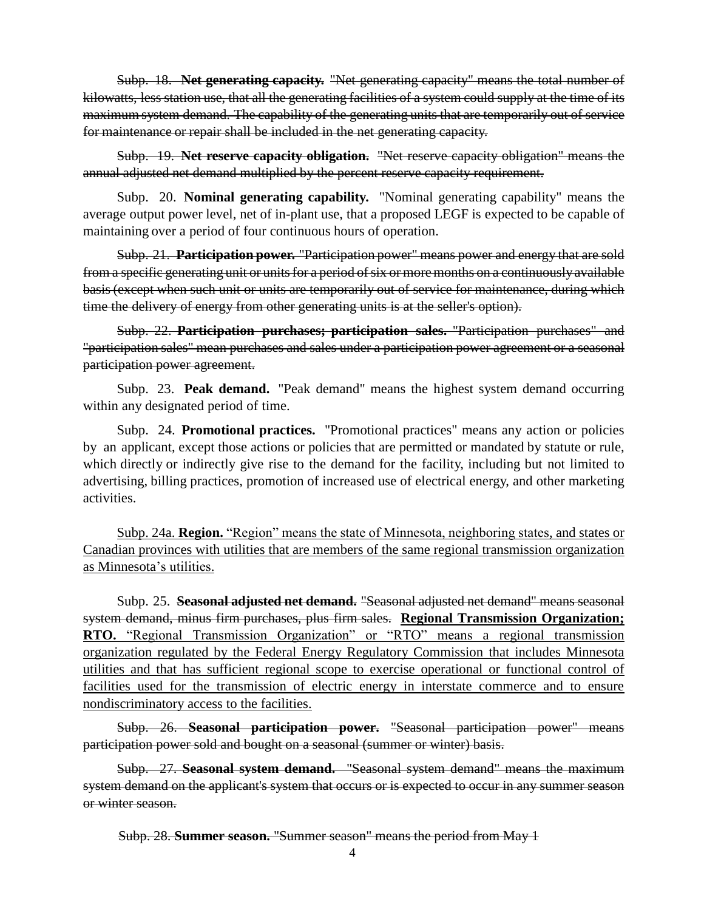Subp. 18. **Net generating capacity.** "Net generating capacity" means the total number of kilowatts, less station use, that all the generating facilities of a system could supply at the time of its maximum system demand. The capability of the generating units that are temporarily out of service for maintenance or repair shall be included in the net generating capacity.

Subp. 19. **Net reserve capacity obligation.** "Net reserve capacity obligation" means the annual adjusted net demand multiplied by the percent reserve capacity requirement.

Subp. 20. **Nominal generating capability.** "Nominal generating capability" means the average output power level, net of in-plant use, that a proposed LEGF is expected to be capable of maintaining over a period of four continuous hours of operation.

Subp. 21. **Participation power.** "Participation power" means power and energy that are sold from a specific generating unit or units for a period of six or more months on a continuously available basis(except when such unit or units are temporarily out of service for maintenance, during which time the delivery of energy from other generating units is at the seller's option).

Subp. 22. **Participation purchases; participation sales.** "Participation purchases" and "participation sales" mean purchases and sales under a participation power agreement or a seasonal participation power agreement.

Subp. 23. **Peak demand.** "Peak demand" means the highest system demand occurring within any designated period of time.

Subp. 24. **Promotional practices.** "Promotional practices" means any action or policies by an applicant, except those actions or policies that are permitted or mandated by statute or rule, which directly or indirectly give rise to the demand for the facility, including but not limited to advertising, billing practices, promotion of increased use of electrical energy, and other marketing activities.

Subp. 24a. **Region.** "Region" means the state of Minnesota, neighboring states, and states or Canadian provinces with utilities that are members of the same regional transmission organization as Minnesota's utilities.

Subp. 25. **Seasonal adjusted net demand.** "Seasonal adjusted net demand" means seasonal system demand, minus firm purchases, plus firm sales. **Regional Transmission Organization; RTO.** "Regional Transmission Organization" or "RTO" means a regional transmission organization regulated by the Federal Energy Regulatory Commission that includes Minnesota utilities and that has sufficient regional scope to exercise operational or functional control of facilities used for the transmission of electric energy in interstate commerce and to ensure nondiscriminatory access to the facilities.

Subp. 26. **Seasonal participation power.** "Seasonal participation power" means participation power sold and bought on a seasonal (summer or winter) basis.

Subp. 27. **Seasonal system demand.** "Seasonal system demand" means the maximum system demand on the applicant's system that occurs or is expected to occur in any summer season or winter season.

Subp. 28. **Summer season.** "Summer season" means the period from May 1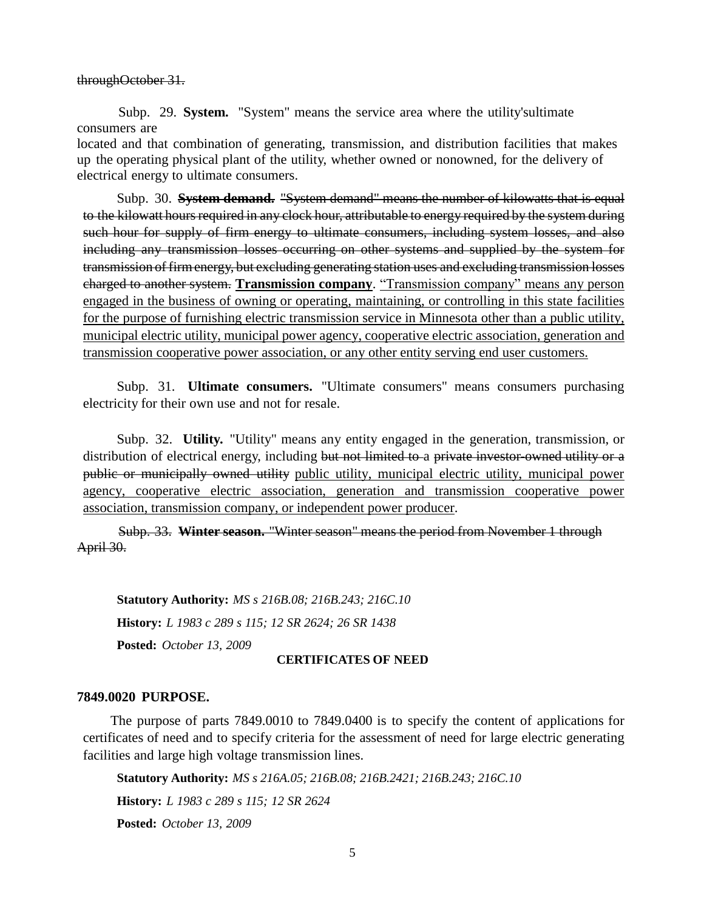throughOctober 31.

Subp. 29. **System.** "System" means the service area where the utility'sultimate consumers are located and that combination of generating, transmission, and distribution facilities that makes up the operating physical plant of the utility, whether owned or nonowned, for the delivery of electrical energy to ultimate consumers.

Subp. 30. **System demand.** "System demand" means the number of kilowatts that is equal to the kilowatt hours required in any clock hour, attributable to energy required by the system during such hour for supply of firm energy to ultimate consumers, including system losses, and also including any transmission losses occurring on other systems and supplied by the system for transmission of firmenergy, but excluding generating station uses and excluding transmission losses charged to another system. **Transmission company**. "Transmission company" means any person engaged in the business of owning or operating, maintaining, or controlling in this state facilities for the purpose of furnishing electric transmission service in Minnesota other than a public utility, municipal electric utility, municipal power agency, cooperative electric association, generation and transmission cooperative power association, or any other entity serving end user customers.

Subp. 31. **Ultimate consumers.** "Ultimate consumers" means consumers purchasing electricity for their own use and not for resale.

Subp. 32. **Utility.** "Utility" means any entity engaged in the generation, transmission, or distribution of electrical energy, including but not limited to a private investor-owned utility or a public or municipally owned utility public utility, municipal electric utility, municipal power agency, cooperative electric association, generation and transmission cooperative power association, transmission company, or independent power producer.

Subp. 33. **Winter season.** "Winter season" means the period from November 1 through April 30.

**Statutory Authority:** *MS s 216B.08; 216B.243; 216C.10* **History:** *L 1983 c 289 s 115; 12 SR 2624; 26 SR 1438*

**Posted:** *October 13, 2009*

### **CERTIFICATES OF NEED**

#### **7849.0020 PURPOSE.**

The purpose of parts 7849.0010 to 7849.0400 is to specify the content of applications for certificates of need and to specify criteria for the assessment of need for large electric generating facilities and large high voltage transmission lines.

**Statutory Authority:** *MS s 216A.05; 216B.08; 216B.2421; 216B.243; 216C.10* **History:** *L 1983 c 289 s 115; 12 SR 2624* **Posted:** *October 13, 2009*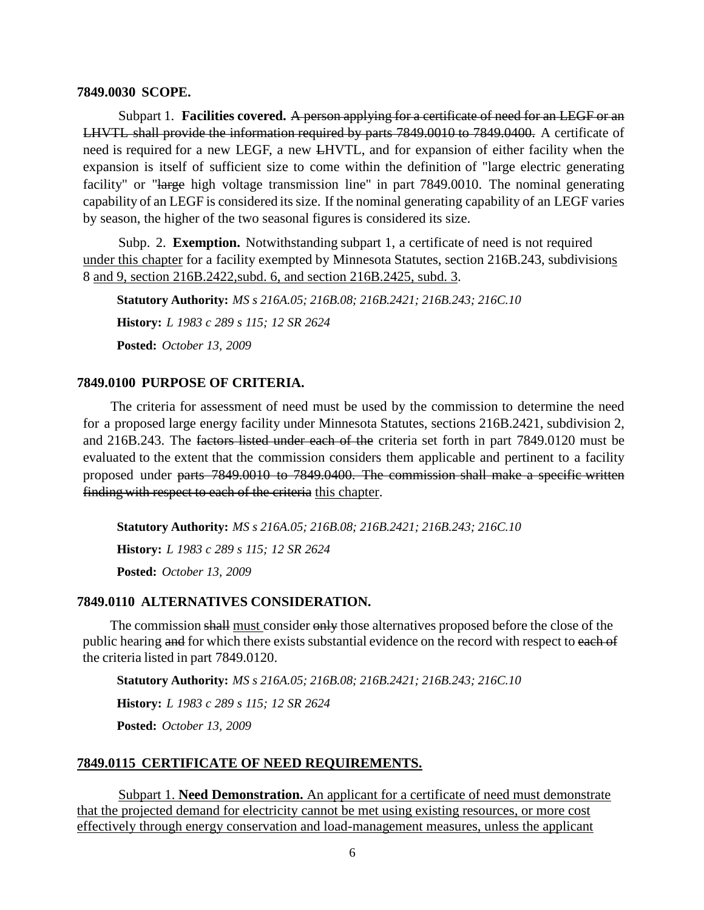#### **7849.0030 SCOPE.**

Subpart 1. **Facilities covered.** A person applying for a certificate of need for an LEGF or an LHVTL shall provide the information required by parts 7849.0010 to 7849.0400. A certificate of need is required for a new LEGF, a new LHVTL, and for expansion of either facility when the expansion is itself of sufficient size to come within the definition of "large electric generating facility" or "large high voltage transmission line" in part 7849.0010. The nominal generating capability of an LEGF is considered itssize. If the nominal generating capability of an LEGF varies by season, the higher of the two seasonal figures is considered its size.

Subp. 2. **Exemption.** Notwithstanding subpart 1, a certificate of need is not required under this chapter for a facility exempted by Minnesota Statutes, section 216B.243, subdivisions 8 and 9, section 216B.2422,subd. 6, and section 216B.2425, subd. 3.

**Statutory Authority:** *MS s 216A.05; 216B.08; 216B.2421; 216B.243; 216C.10* **History:** *L 1983 c 289 s 115; 12 SR 2624* **Posted:** *October 13, 2009*

### **7849.0100 PURPOSE OF CRITERIA.**

The criteria for assessment of need must be used by the commission to determine the need for a proposed large energy facility under Minnesota Statutes, sections 216B.2421, subdivision 2, and 216B.243. The factors listed under each of the criteria set forth in part 7849.0120 must be evaluated to the extent that the commission considers them applicable and pertinent to a facility proposed under parts 7849.0010 to 7849.0400. The commission shall make a specific written finding with respect to each of the criteria this chapter.

**Statutory Authority:** *MS s 216A.05; 216B.08; 216B.2421; 216B.243; 216C.10* **History:** *L 1983 c 289 s 115; 12 SR 2624* **Posted:** *October 13, 2009*

### **7849.0110 ALTERNATIVES CONSIDERATION.**

The commission shall must consider only those alternatives proposed before the close of the public hearing and for which there exists substantial evidence on the record with respect to each of the criteria listed in part 7849.0120.

**Statutory Authority:** *MS s 216A.05; 216B.08; 216B.2421; 216B.243; 216C.10* **History:** *L 1983 c 289 s 115; 12 SR 2624* **Posted:** *October 13, 2009*

### **7849.0115 CERTIFICATE OF NEED REQUIREMENTS.**

Subpart 1. **Need Demonstration.** An applicant for a certificate of need must demonstrate that the projected demand for electricity cannot be met using existing resources, or more cost effectively through energy conservation and load-management measures, unless the applicant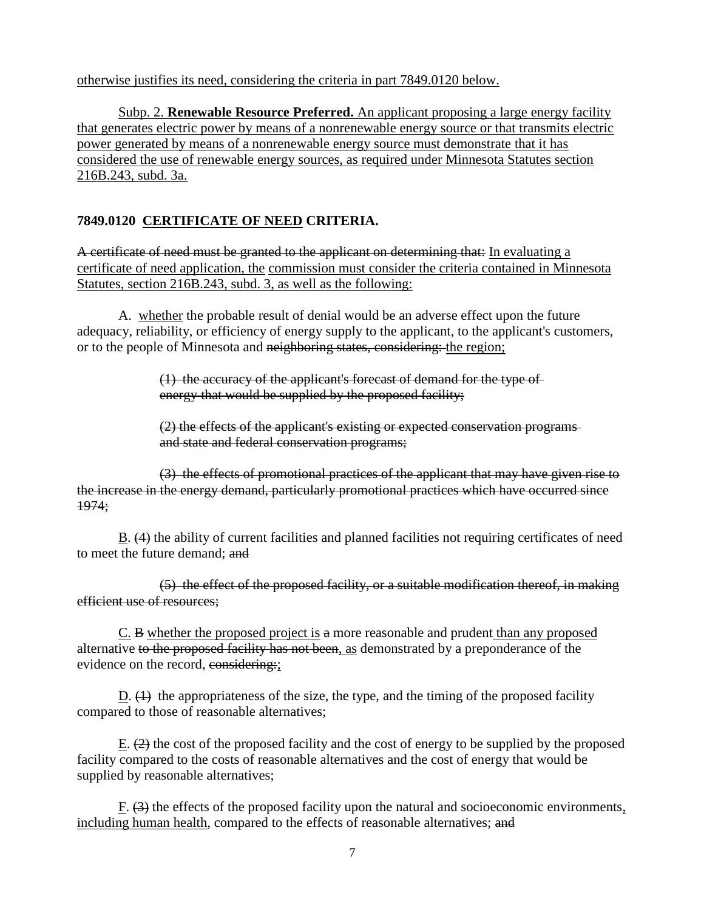otherwise justifies its need, considering the criteria in part 7849.0120 below.

Subp. 2. **Renewable Resource Preferred.** An applicant proposing a large energy facility that generates electric power by means of a nonrenewable energy source or that transmits electric power generated by means of a nonrenewable energy source must demonstrate that it has considered the use of renewable energy sources, as required under Minnesota Statutes section 216B.243, subd. 3a.

# **7849.0120 CERTIFICATE OF NEED CRITERIA.**

A certificate of need must be granted to the applicant on determining that: In evaluating a certificate of need application, the commission must consider the criteria contained in Minnesota Statutes, section 216B.243, subd. 3, as well as the following:

A. whether the probable result of denial would be an adverse effect upon the future adequacy, reliability, or efficiency of energy supply to the applicant, to the applicant's customers, or to the people of Minnesota and neighboring states, considering: the region;

> (1) the accuracy of the applicant's forecast of demand for the type of energy that would be supplied by the proposed facility;

(2) the effects of the applicant's existing or expected conservation programs and state and federal conservation programs;

(3) the effects of promotional practices of the applicant that may have given rise to the increase in the energy demand, particularly promotional practices which have occurred since 1974;

B. (4) the ability of current facilities and planned facilities not requiring certificates of need to meet the future demand; and

(5) the effect of the proposed facility, or a suitable modification thereof, in making efficient use of resources;

C. B whether the proposed project is a more reasonable and prudent than any proposed alternative to the proposed facility has not been, as demonstrated by a preponderance of the evidence on the record, considering:

D.  $(1)$  the appropriateness of the size, the type, and the timing of the proposed facility compared to those of reasonable alternatives;

E.  $(2)$  the cost of the proposed facility and the cost of energy to be supplied by the proposed facility compared to the costs of reasonable alternatives and the cost of energy that would be supplied by reasonable alternatives;

 $F.$  (3) the effects of the proposed facility upon the natural and socioeconomic environments, including human health, compared to the effects of reasonable alternatives; and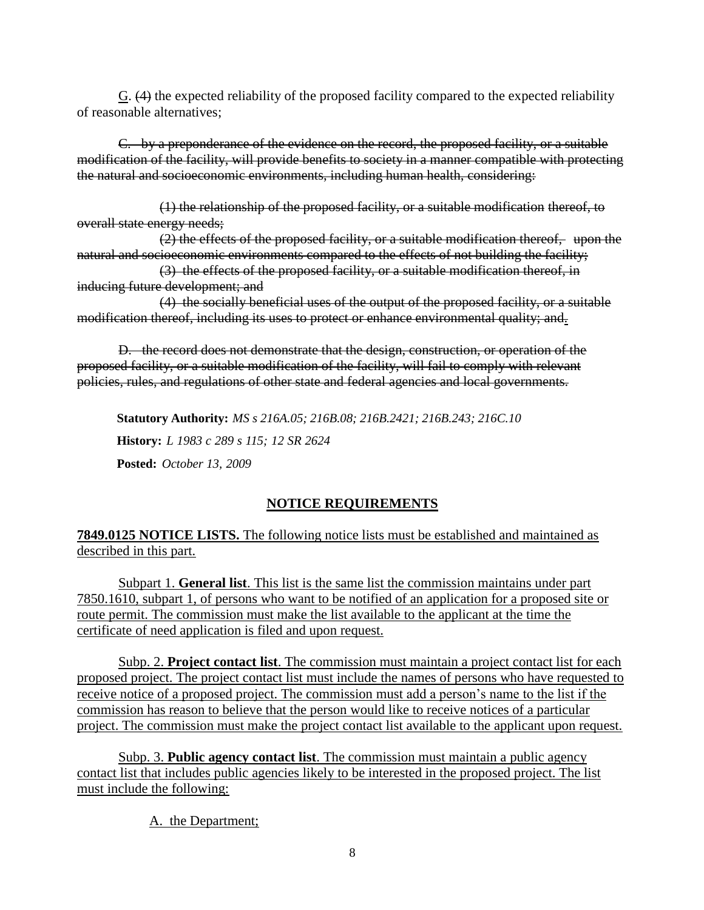G. (4) the expected reliability of the proposed facility compared to the expected reliability of reasonable alternatives;

C. by a preponderance of the evidence on the record, the proposed facility, or a suitable modification of the facility, will provide benefits to society in a manner compatible with protecting the natural and socioeconomic environments, including human health, considering:

(1) the relationship of the proposed facility, or a suitable modification thereof, to overall state energy needs;

(2) the effects of the proposed facility, or a suitable modification thereof, upon the natural and socioeconomic environments compared to the effects of not building the facility;

(3) the effects of the proposed facility, or a suitable modification thereof, in inducing future development; and

(4) the socially beneficial uses of the output of the proposed facility, or a suitable modification thereof, including its uses to protect or enhance environmental quality; and.

D. the record does not demonstrate that the design, construction, or operation of the proposed facility, or a suitable modification of the facility, will fail to comply with relevant policies, rules, and regulations of other state and federal agencies and local governments.

**Statutory Authority:** *MS s 216A.05; 216B.08; 216B.2421; 216B.243; 216C.10* **History:** *L 1983 c 289 s 115; 12 SR 2624* **Posted:** *October 13, 2009*

## **NOTICE REQUIREMENTS**

# **7849.0125 NOTICE LISTS.** The following notice lists must be established and maintained as described in this part.

Subpart 1. **General list**. This list is the same list the commission maintains under part 7850.1610, subpart 1, of persons who want to be notified of an application for a proposed site or route permit. The commission must make the list available to the applicant at the time the certificate of need application is filed and upon request.

Subp. 2. **Project contact list**. The commission must maintain a project contact list for each proposed project. The project contact list must include the names of persons who have requested to receive notice of a proposed project. The commission must add a person's name to the list if the commission has reason to believe that the person would like to receive notices of a particular project. The commission must make the project contact list available to the applicant upon request.

Subp. 3. **Public agency contact list**. The commission must maintain a public agency contact list that includes public agencies likely to be interested in the proposed project. The list must include the following:

A. the Department;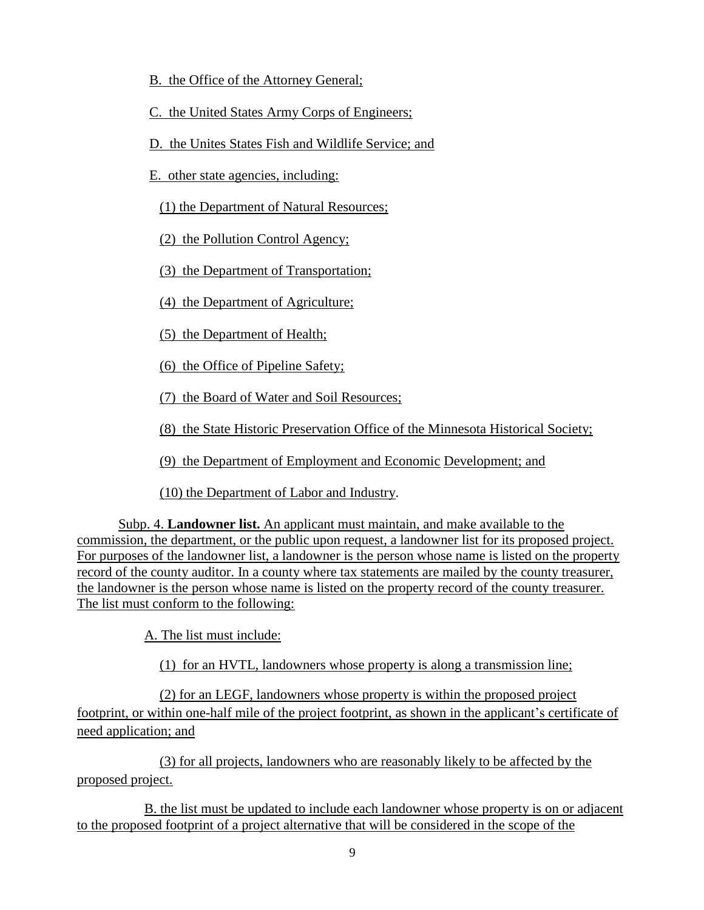- B. the Office of the Attorney General;
- C. the United States Army Corps of Engineers;
- D. the Unites States Fish and Wildlife Service; and
- E. other state agencies, including:

(1) the Department of Natural Resources;

(2) the Pollution Control Agency;

(3) the Department of Transportation;

(4) the Department of Agriculture;

(5) the Department of Health;

(6) the Office of Pipeline Safety;

(7) the Board of Water and Soil Resources;

(8) the State Historic Preservation Office of the Minnesota Historical Society;

(9) the Department of Employment and Economic Development; and

(10) the Department of Labor and Industry.

Subp. 4. **Landowner list.** An applicant must maintain, and make available to the commission, the department, or the public upon request, a landowner list for its proposed project. For purposes of the landowner list, a landowner is the person whose name is listed on the property record of the county auditor. In a county where tax statements are mailed by the county treasurer, the landowner is the person whose name is listed on the property record of the county treasurer. The list must conform to the following:

A. The list must include:

(1) for an HVTL, landowners whose property is along a transmission line;

(2) for an LEGF, landowners whose property is within the proposed project footprint, or within one-half mile of the project footprint, as shown in the applicant's certificate of need application; and

(3) for all projects, landowners who are reasonably likely to be affected by the proposed project.

B. the list must be updated to include each landowner whose property is on or adjacent to the proposed footprint of a project alternative that will be considered in the scope of the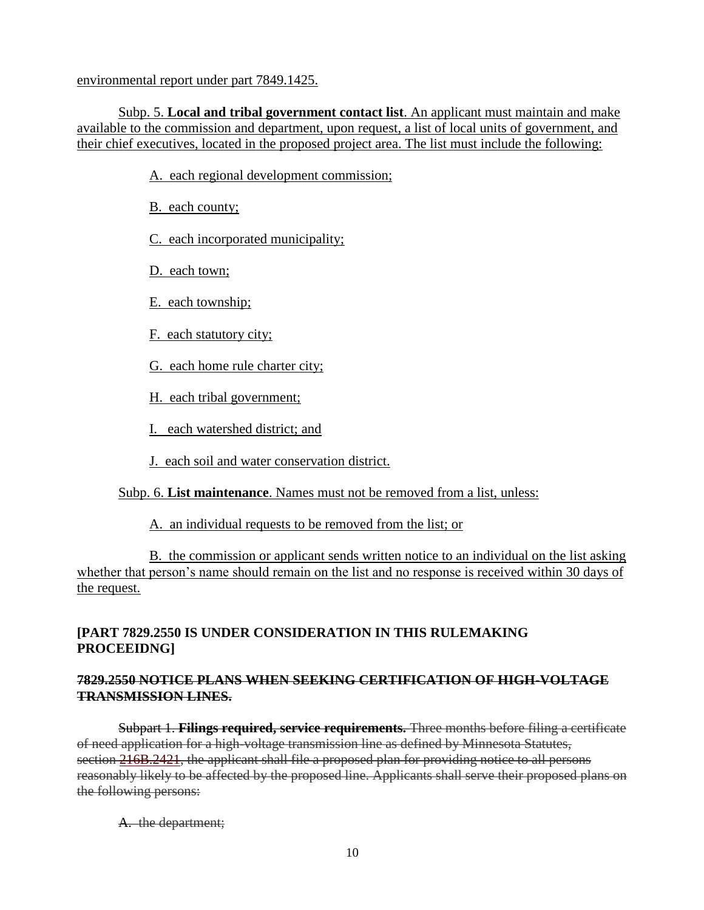environmental report under part 7849.1425.

Subp. 5. **Local and tribal government contact list**. An applicant must maintain and make available to the commission and department, upon request, a list of local units of government, and their chief executives, located in the proposed project area. The list must include the following:

A. each regional development commission;

B. each county;

C. each incorporated municipality;

D. each town;

E. each township;

F. each statutory city;

G. each home rule charter city;

H. each tribal government;

I. each watershed district; and

J. each soil and water conservation district.

Subp. 6. **List maintenance**. Names must not be removed from a list, unless:

A. an individual requests to be removed from the list; or

B. the commission or applicant sends written notice to an individual on the list asking whether that person's name should remain on the list and no response is received within 30 days of the request.

## **[PART 7829.2550 IS UNDER CONSIDERATION IN THIS RULEMAKING PROCEEIDNG]**

### **7829.2550 NOTICE PLANS WHEN SEEKING CERTIFICATION OF HIGH-VOLTAGE TRANSMISSION LINES.**

Subpart 1. **Filings required, service requirements.** Three months before filing a certificate of need application for a high-voltage transmission line as defined by Minnesota Statutes, section [216B.2421,](https://www.revisor.leg.state.mn.us/statutes/?id=216B.2421) the applicant shall file a proposed plan for providing notice to all persons reasonably likely to be affected by the proposed line. Applicants shall serve their proposed plans on the following persons:

A. the department;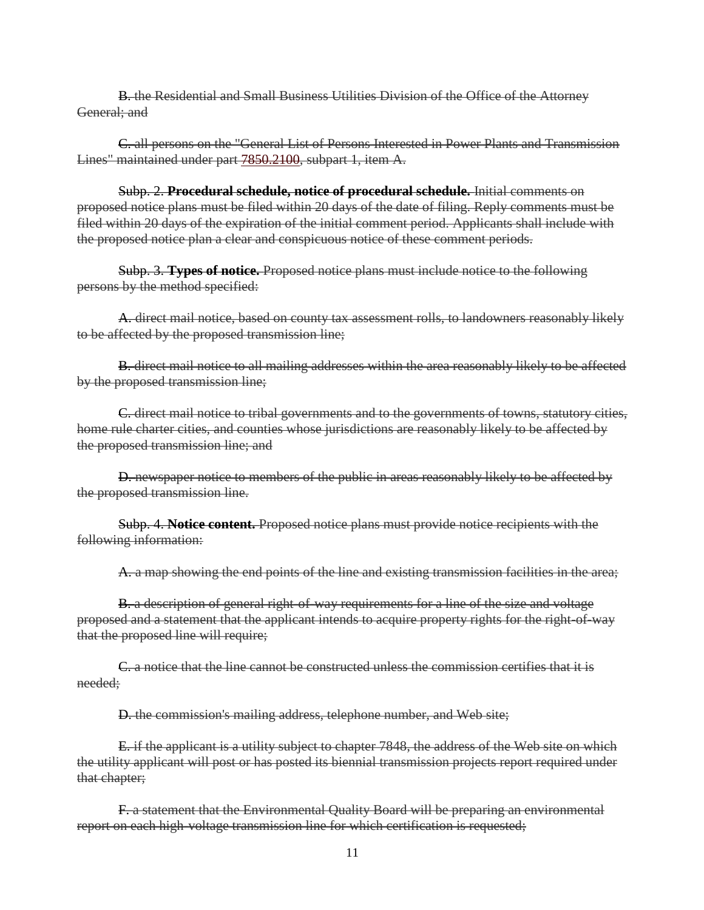B. the Residential and Small Business Utilities Division of the Office of the Attorney General; and

C. all persons on the "General List of Persons Interested in Power Plants and Transmission Lines" maintained under part [7850.2100,](https://www.revisor.leg.state.mn.us/rules/?id=7850.2100) subpart 1, item A.

Subp. 2. **Procedural schedule, notice of procedural schedule.** Initial comments on proposed notice plans must be filed within 20 days of the date of filing. Reply comments must be filed within 20 days of the expiration of the initial comment period. Applicants shall include with the proposed notice plan a clear and conspicuous notice of these comment periods.

Subp. 3. **Types of notice.** Proposed notice plans must include notice to the following persons by the method specified:

A. direct mail notice, based on county tax assessment rolls, to landowners reasonably likely to be affected by the proposed transmission line;

B. direct mail notice to all mailing addresses within the area reasonably likely to be affected by the proposed transmission line;

C. direct mail notice to tribal governments and to the governments of towns, statutory cities, home rule charter cities, and counties whose jurisdictions are reasonably likely to be affected by the proposed transmission line; and

D. newspaper notice to members of the public in areas reasonably likely to be affected by the proposed transmission line.

Subp. 4. **Notice content.** Proposed notice plans must provide notice recipients with the following information:

A. a map showing the end points of the line and existing transmission facilities in the area;

**B.** a description of general right-of-way requirements for a line of the size and voltage proposed and a statement that the applicant intends to acquire property rights for the right-of-way that the proposed line will require;

C. a notice that the line cannot be constructed unless the commission certifies that it is needed;

D. the commission's mailing address, telephone number, and Web site;

E. if the applicant is a utility subject to chapter 7848, the address of the Web site on which the utility applicant will post or has posted its biennial transmission projects report required under that chapter;

F. a statement that the Environmental Quality Board will be preparing an environmental report on each high-voltage transmission line for which certification is requested;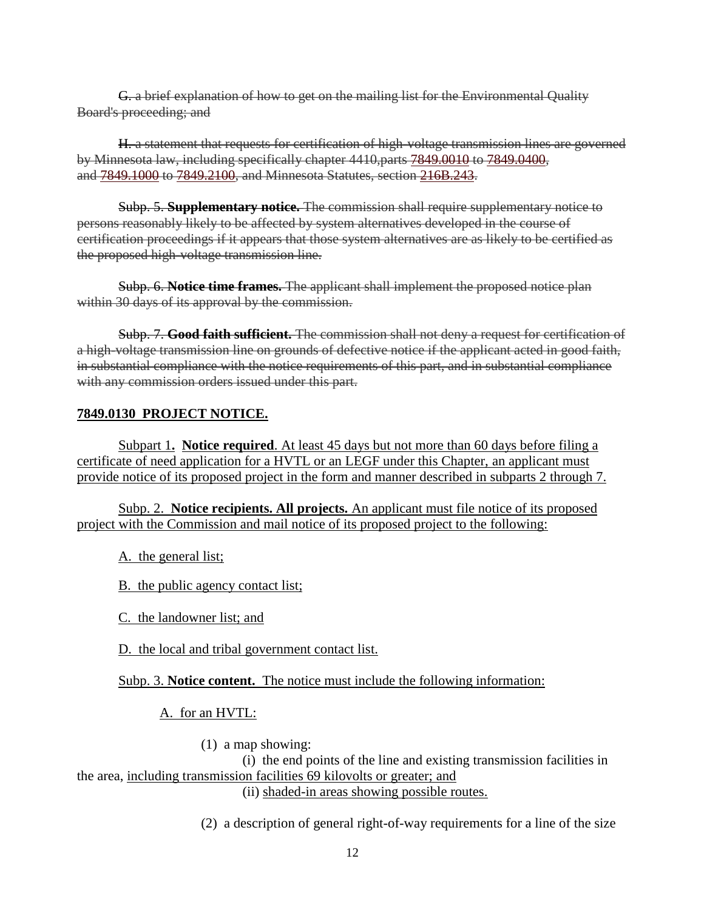G. a brief explanation of how to get on the mailing list for the Environmental Quality Board's proceeding; and

H. a statement that requests for certification of high-voltage transmission lines are governed by Minnesota law, including specifically chapter 4410,parts [7849.0010](https://www.revisor.leg.state.mn.us/rules/?id=7849.0010) to [7849.0400,](https://www.revisor.leg.state.mn.us/rules/?id=7849.0400) and [7849.1000](https://www.revisor.leg.state.mn.us/rules/?id=7849.1000) to [7849.2100,](https://www.revisor.leg.state.mn.us/rules/?id=7849.2100) and Minnesota Statutes, section [216B.243.](https://www.revisor.leg.state.mn.us/statutes/?id=216B.243)

Subp. 5. **Supplementary notice.** The commission shall require supplementary notice to persons reasonably likely to be affected by system alternatives developed in the course of certification proceedings if it appears that those system alternatives are as likely to be certified as the proposed high-voltage transmission line.

Subp. 6. **Notice time frames.** The applicant shall implement the proposed notice plan within 30 days of its approval by the commission.

Subp. 7. **Good faith sufficient.** The commission shall not deny a request for certification of a high-voltage transmission line on grounds of defective notice if the applicant acted in good faith, in substantial compliance with the notice requirements of this part, and in substantial compliance with any commission orders issued under this part.

# **7849.0130 PROJECT NOTICE.**

Subpart 1**. Notice required**. At least 45 days but not more than 60 days before filing a certificate of need application for a HVTL or an LEGF under this Chapter, an applicant must provide notice of its proposed project in the form and manner described in subparts 2 through 7.

Subp. 2. **Notice recipients. All projects.** An applicant must file notice of its proposed project with the Commission and mail notice of its proposed project to the following:

A. the general list;

B. the public agency contact list;

C. the landowner list; and

D. the local and tribal government contact list.

Subp. 3. **Notice content.** The notice must include the following information:

# A. for an HVTL:

(1) a map showing:

(i) the end points of the line and existing transmission facilities in the area, including transmission facilities 69 kilovolts or greater; and (ii) shaded-in areas showing possible routes.

(2) a description of general right-of-way requirements for a line of the size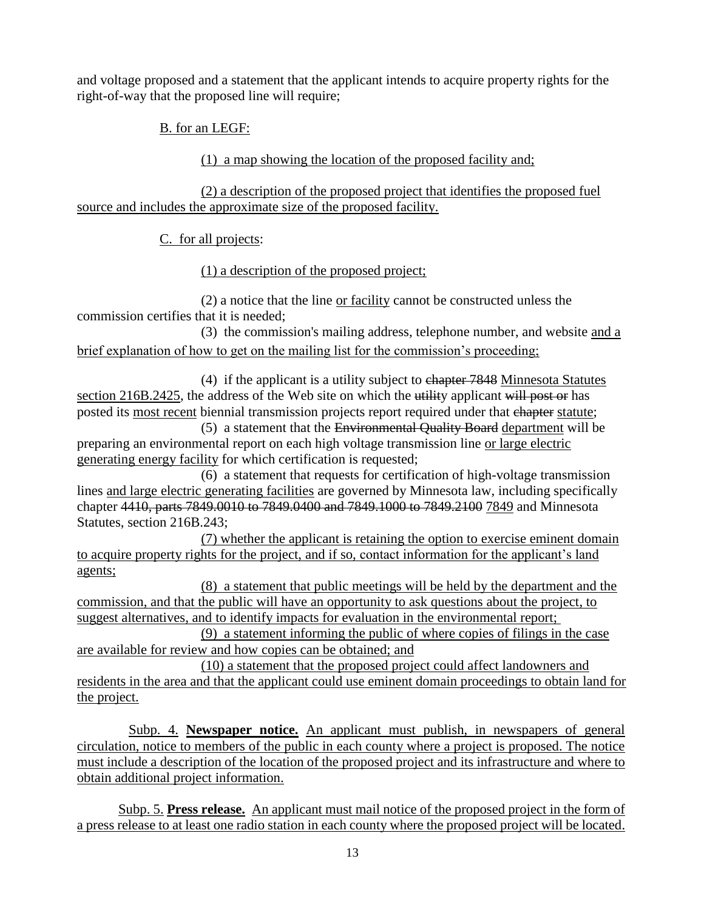and voltage proposed and a statement that the applicant intends to acquire property rights for the right-of-way that the proposed line will require;

B. for an LEGF:

(1) a map showing the location of the proposed facility and;

(2) a description of the proposed project that identifies the proposed fuel source and includes the approximate size of the proposed facility.

C. for all projects:

(1) a description of the proposed project;

(2) a notice that the line or facility cannot be constructed unless the commission certifies that it is needed;

(3) the commission's mailing address, telephone number, and website and a brief explanation of how to get on the mailing list for the commission's proceeding;

(4) if the applicant is a utility subject to chapter 7848 Minnesota Statutes section 216B.2425, the address of the Web site on which the utility applicant will post or has posted its most recent biennial transmission projects report required under that chapter statute;

(5) a statement that the Environmental Quality Board department will be preparing an environmental report on each high voltage transmission line or large electric generating energy facility for which certification is requested;

(6) a statement that requests for certification of high-voltage transmission lines and large electric generating facilities are governed by Minnesota law, including specifically chapter 4410, parts 7849.0010 to 7849.0400 and 7849.1000 to 7849.2100 7849 and Minnesota Statutes, section 216B.243;

(7) whether the applicant is retaining the option to exercise eminent domain to acquire property rights for the project, and if so, contact information for the applicant's land agents;

(8) a statement that public meetings will be held by the department and the commission, and that the public will have an opportunity to ask questions about the project, to suggest alternatives, and to identify impacts for evaluation in the environmental report;

(9) a statement informing the public of where copies of filings in the case are available for review and how copies can be obtained; and

(10) a statement that the proposed project could affect landowners and residents in the area and that the applicant could use eminent domain proceedings to obtain land for the project.

Subp. 4. **Newspaper notice.** An applicant must publish, in newspapers of general circulation, notice to members of the public in each county where a project is proposed. The notice must include a description of the location of the proposed project and its infrastructure and where to obtain additional project information.

Subp. 5. **Press release.** An applicant must mail notice of the proposed project in the form of a press release to at least one radio station in each county where the proposed project will be located.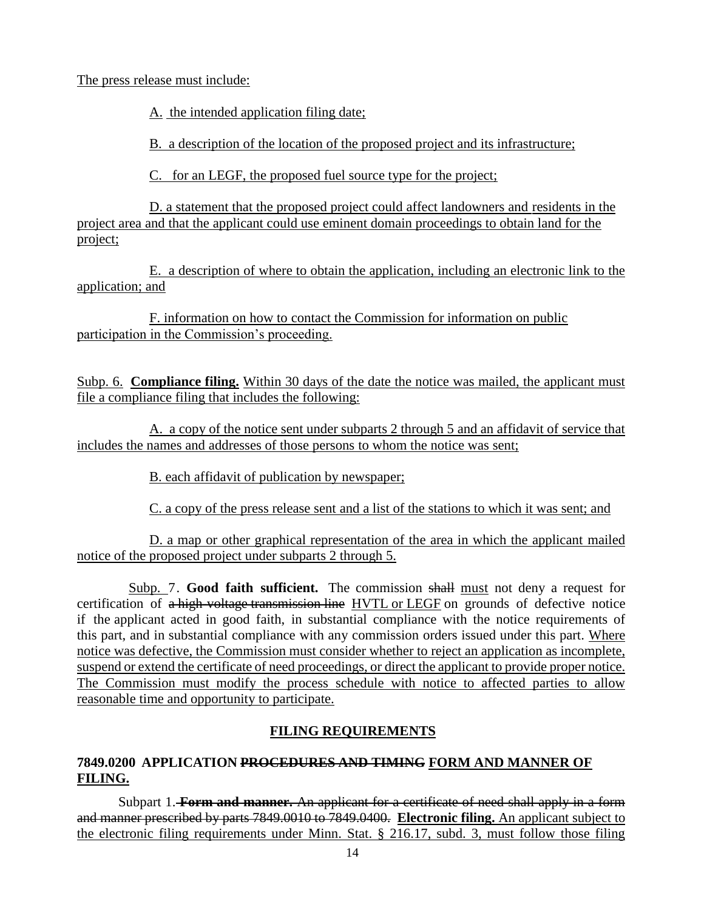The press release must include:

A. the intended application filing date;

B. a description of the location of the proposed project and its infrastructure;

C. for an LEGF, the proposed fuel source type for the project;

D. a statement that the proposed project could affect landowners and residents in the project area and that the applicant could use eminent domain proceedings to obtain land for the project;

E. a description of where to obtain the application, including an electronic link to the application; and

F. information on how to contact the Commission for information on public participation in the Commission's proceeding.

Subp. 6. **Compliance filing.** Within 30 days of the date the notice was mailed, the applicant must file a compliance filing that includes the following:

A. a copy of the notice sent under subparts 2 through 5 and an affidavit of service that includes the names and addresses of those persons to whom the notice was sent;

B. each affidavit of publication by newspaper;

C. a copy of the press release sent and a list of the stations to which it was sent; and

D. a map or other graphical representation of the area in which the applicant mailed notice of the proposed project under subparts 2 through 5.

Subp. 7. **Good faith sufficient.** The commission shall must not deny a request for certification of a high-voltage transmission line HVTL or LEGF on grounds of defective notice if the applicant acted in good faith, in substantial compliance with the notice requirements of this part, and in substantial compliance with any commission orders issued under this part. Where notice was defective, the Commission must consider whether to reject an application as incomplete, suspend or extend the certificate of need proceedings, or direct the applicant to provide proper notice. The Commission must modify the process schedule with notice to affected parties to allow reasonable time and opportunity to participate.

# **FILING REQUIREMENTS**

## **7849.0200 APPLICATION PROCEDURES AND TIMING FORM AND MANNER OF FILING.**

Subpart 1. **Form and manner.** An applicant for a certificate of need shall apply in a form and manner prescribed by parts 7849.0010 to 7849.0400. **Electronic filing.** An applicant subject to the electronic filing requirements under Minn. Stat. § 216.17, subd. 3, must follow those filing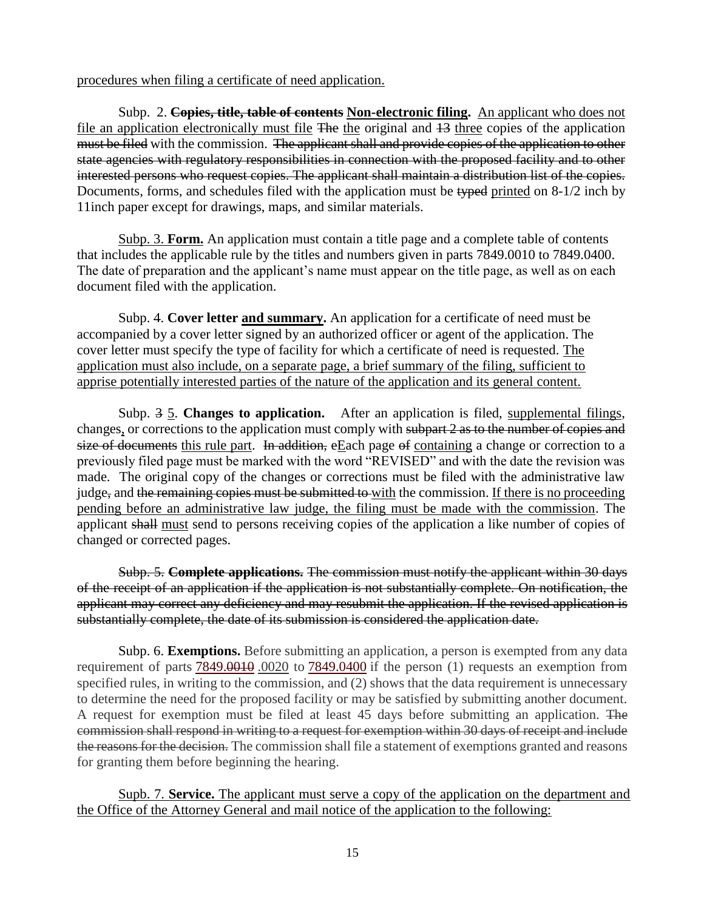procedures when filing a certificate of need application.

Subp. 2. **Copies, title, table of contents Non-electronic filing.** An applicant who does not file an application electronically must file The the original and 13 three copies of the application must be filed with the commission. The applicant shall and provide copies of the application to other state agencies with regulatory responsibilities in connection with the proposed facility and to other interested persons who request copies. The applicant shall maintain a distribution list of the copies. Documents, forms, and schedules filed with the application must be typed printed on 8-1/2 inch by 11inch paper except for drawings, maps, and similar materials.

Subp. 3. **Form.** An application must contain a title page and a complete table of contents that includes the applicable rule by the titles and numbers given in parts 7849.0010 to 7849.0400. The date of preparation and the applicant's name must appear on the title page, as well as on each document filed with the application.

Subp. 4. **Cover letter and summary.** An application for a certificate of need must be accompanied by a cover letter signed by an authorized officer or agent of the application. The cover letter must specify the type of facility for which a certificate of need is requested. The application must also include, on a separate page, a brief summary of the filing, sufficient to apprise potentially interested parties of the nature of the application and its general content.

Subp. 3 5. **Changes to application.** After an application is filed, supplemental filings, changes, or corrections to the application must comply with subpart 2 as to the number of copies and size of documents this rule part. In addition, eEach page of containing a change or correction to a previously filed page must be marked with the word "REVISED" and with the date the revision was made. The original copy of the changes or corrections must be filed with the administrative law judge, and the remaining copies must be submitted to with the commission. If there is no proceeding pending before an administrative law judge, the filing must be made with the commission. The applicant shall must send to persons receiving copies of the application a like number of copies of changed or corrected pages.

Subp. 5. **Complete applications.** The commission must notify the applicant within 30 days of the receipt of an application if the application is not substantially complete. On notification, the applicant may correct any deficiency and may resubmit the application. If the revised application is substantially complete, the date of its submission is considered the application date.

Subp. 6. **Exemptions.** Before submitting an application, a person is exempted from any data requirement of parts [7849.0010](https://www.revisor.leg.state.mn.us/rules/?id=7849.0010).0020 to [7849.0400](https://www.revisor.leg.state.mn.us/rules/?id=7849.0400) if the person (1) requests an exemption from specified rules, in writing to the commission, and (2) shows that the data requirement is unnecessary to determine the need for the proposed facility or may be satisfied by submitting another document. A request for exemption must be filed at least 45 days before submitting an application. The commission shall respond in writing to a request for exemption within 30 days of receipt and include the reasons for the decision. The commission shall file a statement of exemptions granted and reasons for granting them before beginning the hearing.

Supb. 7. **Service.** The applicant must serve a copy of the application on the department and the Office of the Attorney General and mail notice of the application to the following: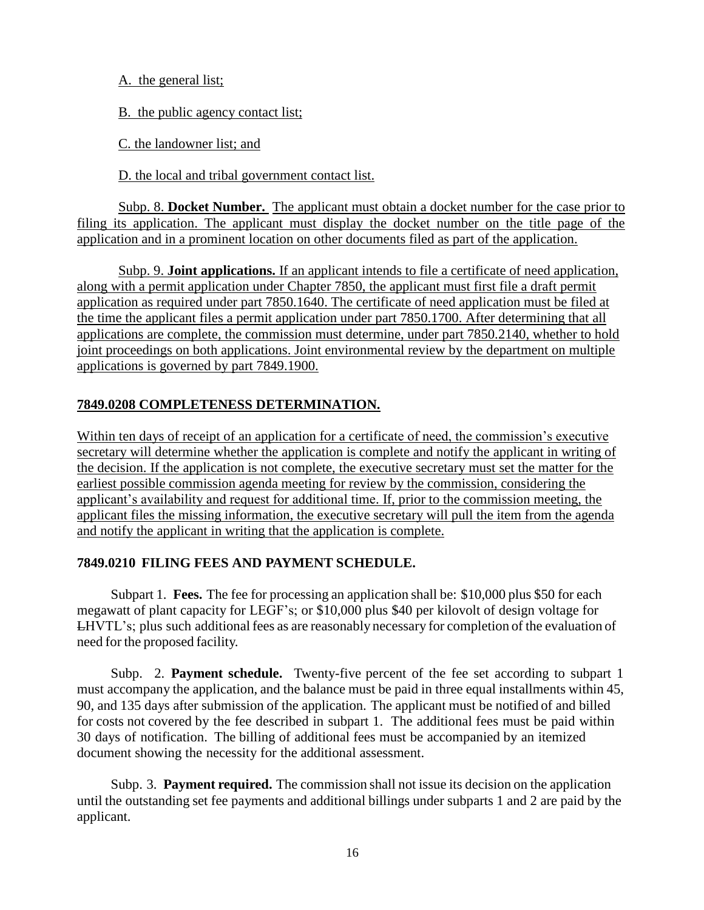A. the general list;

B. the public agency contact list;

C. the landowner list; and

D. the local and tribal government contact list.

Subp. 8. **Docket Number.** The applicant must obtain a docket number for the case prior to filing its application. The applicant must display the docket number on the title page of the application and in a prominent location on other documents filed as part of the application.

Subp. 9. **Joint applications.** If an applicant intends to file a certificate of need application, along with a permit application under Chapter 7850, the applicant must first file a draft permit application as required under part 7850.1640. The certificate of need application must be filed at the time the applicant files a permit application under part 7850.1700. After determining that all applications are complete, the commission must determine, under part 7850.2140, whether to hold joint proceedings on both applications. Joint environmental review by the department on multiple applications is governed by part 7849.1900.

# **7849.0208 COMPLETENESS DETERMINATION.**

Within ten days of receipt of an application for a certificate of need, the commission's executive secretary will determine whether the application is complete and notify the applicant in writing of the decision. If the application is not complete, the executive secretary must set the matter for the earliest possible commission agenda meeting for review by the commission, considering the applicant's availability and request for additional time. If, prior to the commission meeting, the applicant files the missing information, the executive secretary will pull the item from the agenda and notify the applicant in writing that the application is complete.

## **7849.0210 FILING FEES AND PAYMENT SCHEDULE.**

Subpart 1. **Fees.** The fee for processing an application shall be: \$10,000 plus \$50 for each megawatt of plant capacity for LEGF's; or \$10,000 plus \$40 per kilovolt of design voltage for LHVTL's; plus such additionalfees as are reasonably necessary for completion of the evaluation of need for the proposed facility.

Subp. 2. **Payment schedule.** Twenty-five percent of the fee set according to subpart 1 must accompany the application, and the balance must be paid in three equal installments within 45, 90, and 135 days after submission of the application. The applicant must be notified of and billed for costs not covered by the fee described in subpart 1. The additional fees must be paid within 30 days of notification. The billing of additional fees must be accompanied by an itemized document showing the necessity for the additional assessment.

Subp. 3. **Payment required.** The commission shall not issue its decision on the application until the outstanding set fee payments and additional billings under subparts 1 and 2 are paid by the applicant.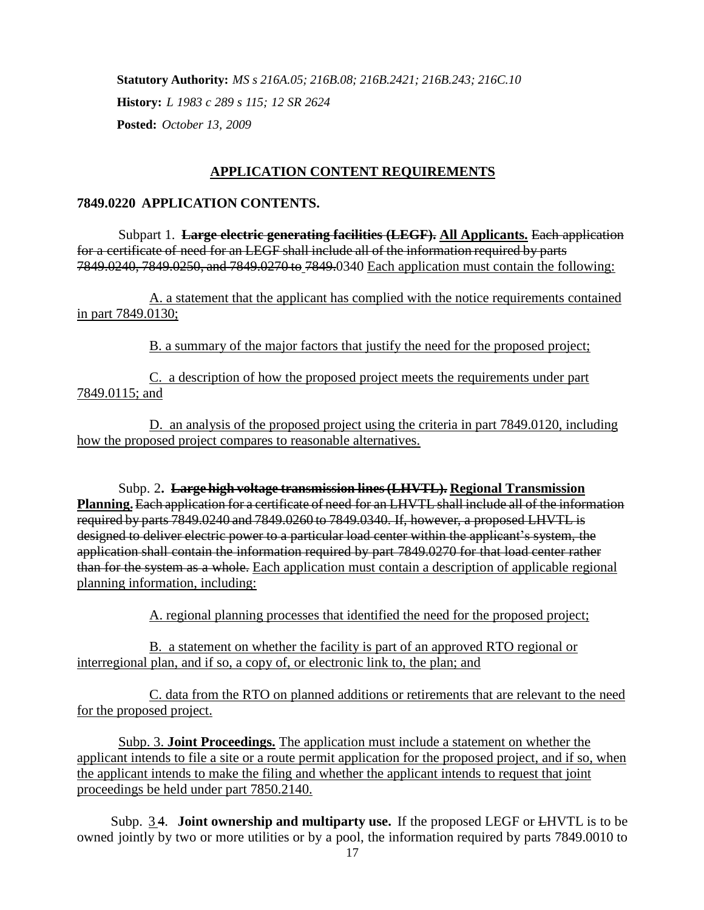**Statutory Authority:** *MS s 216A.05; 216B.08; 216B.2421; 216B.243; 216C.10* **History:** *L 1983 c 289 s 115; 12 SR 2624* **Posted:** *October 13, 2009*

### **APPLICATION CONTENT REQUIREMENTS**

### **7849.0220 APPLICATION CONTENTS.**

Subpart 1. **Large electric generating facilities (LEGF). All Applicants.** Each application for a certificate of need for an LEGF shall include all of the information required by parts 7849.0240, 7849.0250, and 7849.0270 to 7849.0340 Each application must contain the following:

A. a statement that the applicant has complied with the notice requirements contained in part 7849.0130;

B. a summary of the major factors that justify the need for the proposed project;

C. a description of how the proposed project meets the requirements under part 7849.0115; and

D. an analysis of the proposed project using the criteria in part 7849.0120, including how the proposed project compares to reasonable alternatives.

Subp. 2**. Large high voltage transmission lines(LHVTL). Regional Transmission Planning.**Each application for a certificate of need for an LHVTL shall include all of the information required by parts 7849.0240 and 7849.0260 to 7849.0340. If, however, a proposed LHVTL is designed to deliver electric power to a particular load center within the applicant's system, the application shall contain the information required by part 7849.0270 for that load center rather than for the system as a whole. Each application must contain a description of applicable regional planning information, including:

A. regional planning processes that identified the need for the proposed project;

B. a statement on whether the facility is part of an approved RTO regional or interregional plan, and if so, a copy of, or electronic link to, the plan; and

C. data from the RTO on planned additions or retirements that are relevant to the need for the proposed project.

Subp. 3. **Joint Proceedings.** The application must include a statement on whether the applicant intends to file a site or a route permit application for the proposed project, and if so, when the applicant intends to make the filing and whether the applicant intends to request that joint proceedings be held under part 7850.2140.

Subp. 3 4. **Joint ownership and multiparty use.** If the proposed LEGF or LHVTL is to be owned jointly by two or more utilities or by a pool, the information required by parts 7849.0010 to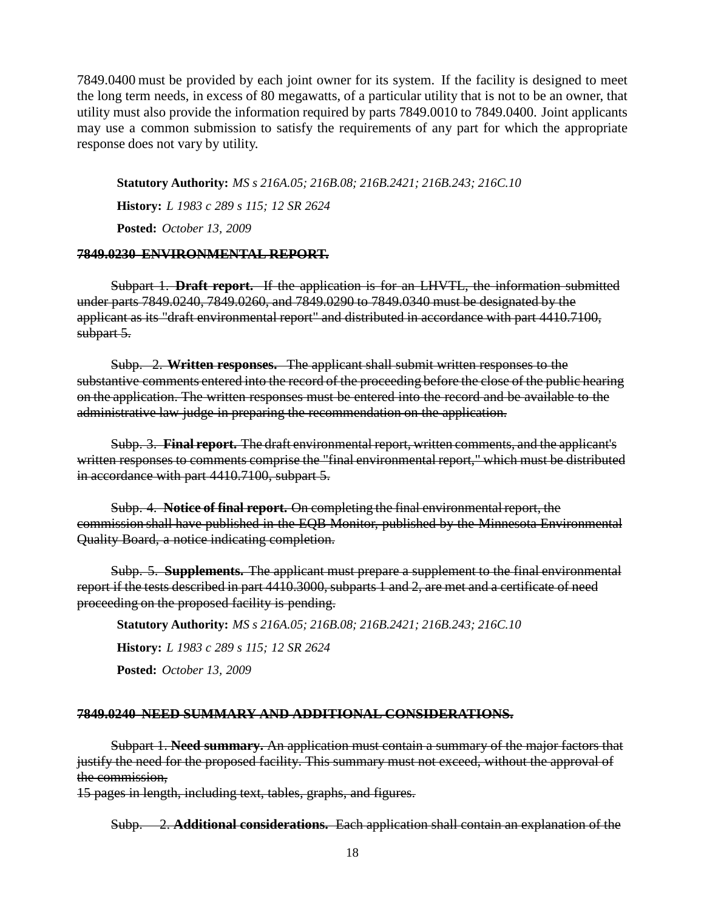7849.0400 must be provided by each joint owner for its system. If the facility is designed to meet the long term needs, in excess of 80 megawatts, of a particular utility that is not to be an owner, that utility must also provide the information required by parts 7849.0010 to 7849.0400. Joint applicants may use a common submission to satisfy the requirements of any part for which the appropriate response does not vary by utility.

**Statutory Authority:** *MS s 216A.05; 216B.08; 216B.2421; 216B.243; 216C.10* **History:** *L 1983 c 289 s 115; 12 SR 2624* **Posted:** *October 13, 2009*

#### **7849.0230 ENVIRONMENTAL REPORT.**

Subpart 1. **Draft report.** If the application is for an LHVTL, the information submitted under parts 7849.0240, 7849.0260, and 7849.0290 to 7849.0340 must be designated by the applicant as its "draft environmental report" and distributed in accordance with part 4410.7100, subpart 5.

Subp. 2. **Written responses.** The applicant shall submit written responses to the substantive comments entered into the record of the proceeding before the close of the public hearing on the application. The written responses must be entered into the record and be available to the administrative law judge in preparing the recommendation on the application.

Subp. 3. **Final report.** The draft environmental report, written comments, and the applicant's written responses to comments comprise the "final environmental report," which must be distributed in accordance with part 4410.7100, subpart 5.

Subp. 4. **Notice of final report.** On completing the final environmentalreport, the commission shall have published in the EQB Monitor, published by the Minnesota Environmental Quality Board, a notice indicating completion.

Subp. 5. **Supplements.** The applicant must prepare a supplement to the final environmental report if the tests described in part 4410.3000, subparts 1 and 2, are met and a certificate of need proceeding on the proposed facility is pending.

**Statutory Authority:** *MS s 216A.05; 216B.08; 216B.2421; 216B.243; 216C.10* **History:** *L 1983 c 289 s 115; 12 SR 2624* **Posted:** *October 13, 2009*

#### **7849.0240 NEED SUMMARY AND ADDITIONAL CONSIDERATIONS.**

Subpart 1. **Need summary.** An application must contain a summary of the major factors that justify the need for the proposed facility. This summary must not exceed, without the approval of the commission,

15 pages in length, including text, tables, graphs, and figures.

Subp. 2. **Additional considerations.** Each application shall contain an explanation of the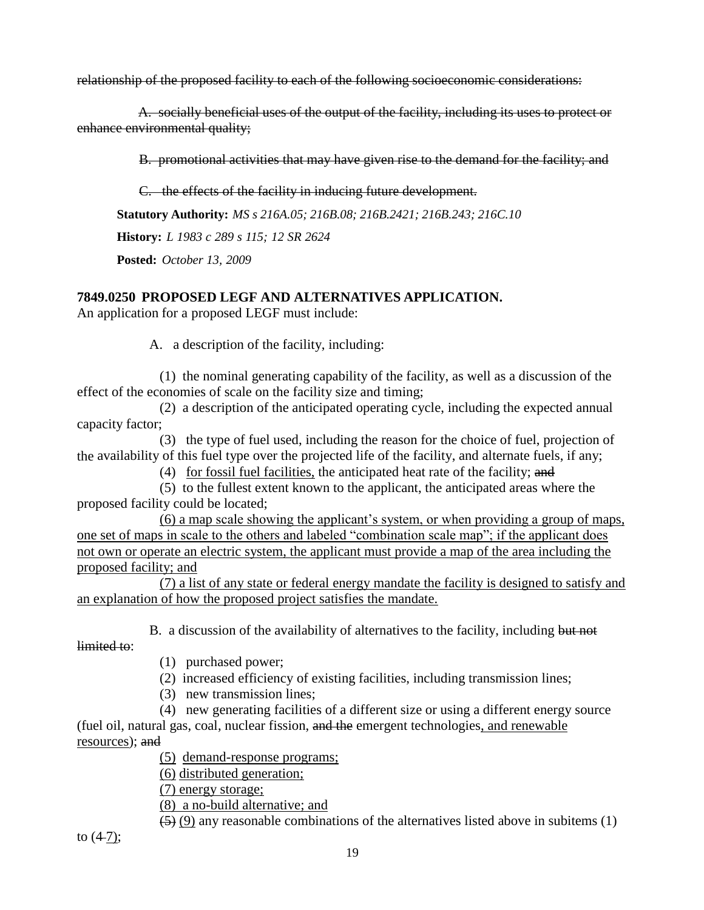relationship of the proposed facility to each of the following socioeconomic considerations:

A. socially beneficial uses of the output of the facility, including its uses to protect or enhance environmental quality;

B. promotional activities that may have given rise to the demand for the facility; and

C. the effects of the facility in inducing future development.

**Statutory Authority:** *MS s 216A.05; 216B.08; 216B.2421; 216B.243; 216C.10*

**History:** *L 1983 c 289 s 115; 12 SR 2624*

**Posted:** *October 13, 2009*

# **7849.0250 PROPOSED LEGF AND ALTERNATIVES APPLICATION.**

An application for a proposed LEGF must include:

A. a description of the facility, including:

(1) the nominal generating capability of the facility, as well as a discussion of the effect of the economies of scale on the facility size and timing;

(2) a description of the anticipated operating cycle, including the expected annual capacity factor;

(3) the type of fuel used, including the reason for the choice of fuel, projection of the availability of this fuel type over the projected life of the facility, and alternate fuels, if any;

(4) for fossil fuel facilities, the anticipated heat rate of the facility; and

(5) to the fullest extent known to the applicant, the anticipated areas where the proposed facility could be located;

(6) a map scale showing the applicant's system, or when providing a group of maps, one set of maps in scale to the others and labeled "combination scale map"; if the applicant does not own or operate an electric system, the applicant must provide a map of the area including the proposed facility; and

(7) a list of any state or federal energy mandate the facility is designed to satisfy and an explanation of how the proposed project satisfies the mandate.

B. a discussion of the availability of alternatives to the facility, including but not

limited to:

(1) purchased power;

- (2) increased efficiency of existing facilities, including transmission lines;
- (3) new transmission lines;

(4) new generating facilities of a different size or using a different energy source (fuel oil, natural gas, coal, nuclear fission, and the emergent technologies, and renewable resources); and

(5) demand-response programs;

(6) distributed generation;

(7) energy storage;

(8) a no-build alternative; and

 $(5)$  (9) any reasonable combinations of the alternatives listed above in subitems (1)

to  $(4-7)$ ;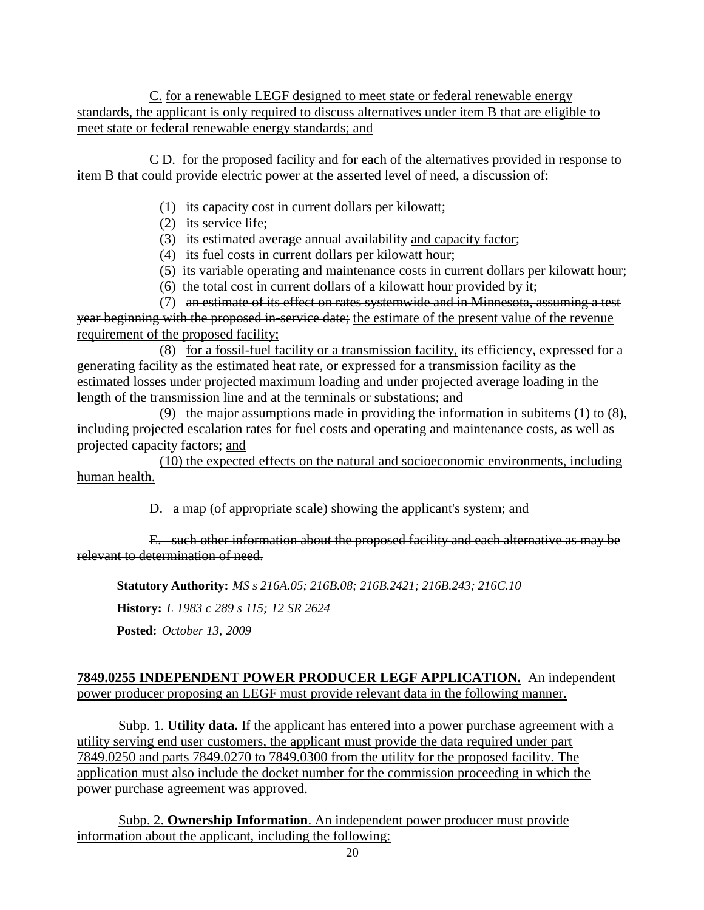C. for a renewable LEGF designed to meet state or federal renewable energy standards, the applicant is only required to discuss alternatives under item B that are eligible to meet state or federal renewable energy standards; and

C D. for the proposed facility and for each of the alternatives provided in response to item B that could provide electric power at the asserted level of need, a discussion of:

- (1) its capacity cost in current dollars per kilowatt;
- (2) its service life;
- (3) its estimated average annual availability and capacity factor;
- (4) its fuel costs in current dollars per kilowatt hour;
- (5) its variable operating and maintenance costs in current dollars per kilowatt hour;
- (6) the total cost in current dollars of a kilowatt hour provided by it;

(7) an estimate of its effect on rates systemwide and in Minnesota, assuming a test year beginning with the proposed in-service date; the estimate of the present value of the revenue requirement of the proposed facility;

(8) for a fossil-fuel facility or a transmission facility, its efficiency, expressed for a generating facility as the estimated heat rate, or expressed for a transmission facility as the estimated losses under projected maximum loading and under projected average loading in the length of the transmission line and at the terminals or substations; and

(9) the major assumptions made in providing the information in subitems (1) to (8), including projected escalation rates for fuel costs and operating and maintenance costs, as well as projected capacity factors; and

(10) the expected effects on the natural and socioeconomic environments, including human health.

D. a map (of appropriate scale) showing the applicant's system; and

E. such other information about the proposed facility and each alternative as may be relevant to determination of need.

**Statutory Authority:** *MS s 216A.05; 216B.08; 216B.2421; 216B.243; 216C.10*

**History:** *L 1983 c 289 s 115; 12 SR 2624*

**Posted:** *October 13, 2009*

## **7849.0255 INDEPENDENT POWER PRODUCER LEGF APPLICATION.** An independent power producer proposing an LEGF must provide relevant data in the following manner.

Subp. 1. **Utility data.** If the applicant has entered into a power purchase agreement with a utility serving end user customers, the applicant must provide the data required under part 7849.0250 and parts 7849.0270 to 7849.0300 from the utility for the proposed facility. The application must also include the docket number for the commission proceeding in which the power purchase agreement was approved.

Subp. 2. **Ownership Information**. An independent power producer must provide information about the applicant, including the following: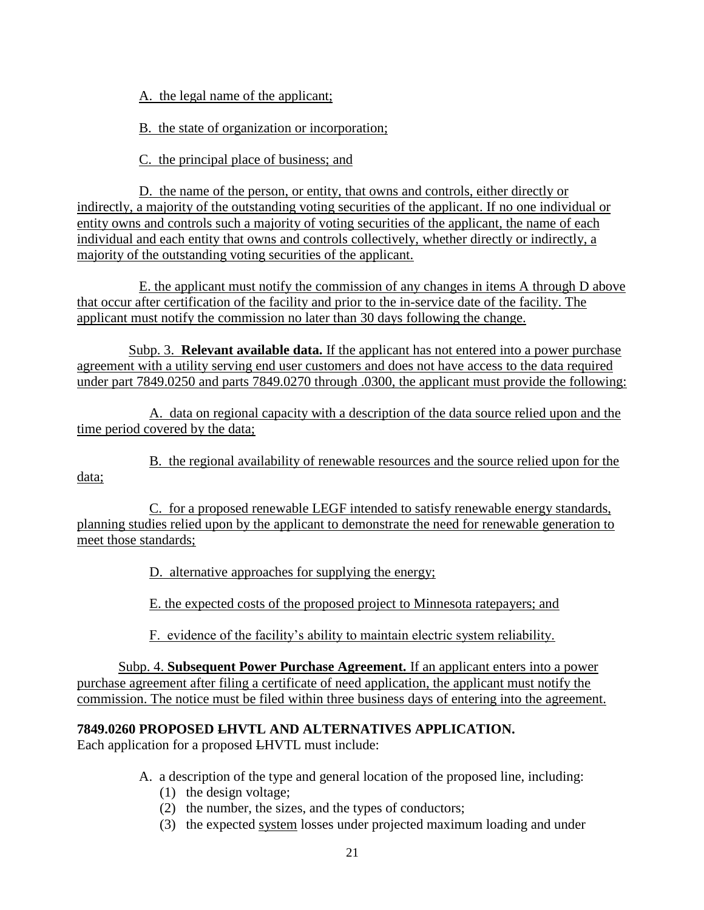A. the legal name of the applicant;

B. the state of organization or incorporation;

C. the principal place of business; and

D. the name of the person, or entity, that owns and controls, either directly or indirectly, a majority of the outstanding voting securities of the applicant. If no one individual or entity owns and controls such a majority of voting securities of the applicant, the name of each individual and each entity that owns and controls collectively, whether directly or indirectly, a majority of the outstanding voting securities of the applicant.

E. the applicant must notify the commission of any changes in items A through D above that occur after certification of the facility and prior to the in-service date of the facility. The applicant must notify the commission no later than 30 days following the change.

Subp. 3. **Relevant available data.** If the applicant has not entered into a power purchase agreement with a utility serving end user customers and does not have access to the data required under part 7849.0250 and parts 7849.0270 through .0300, the applicant must provide the following:

A. data on regional capacity with a description of the data source relied upon and the time period covered by the data;

B. the regional availability of renewable resources and the source relied upon for the data;

C. for a proposed renewable LEGF intended to satisfy renewable energy standards, planning studies relied upon by the applicant to demonstrate the need for renewable generation to meet those standards;

D. alternative approaches for supplying the energy;

E. the expected costs of the proposed project to Minnesota ratepayers; and

F. evidence of the facility's ability to maintain electric system reliability.

Subp. 4. **Subsequent Power Purchase Agreement.** If an applicant enters into a power purchase agreement after filing a certificate of need application, the applicant must notify the commission. The notice must be filed within three business days of entering into the agreement.

# **7849.0260 PROPOSED LHVTL AND ALTERNATIVES APPLICATION.**

Each application for a proposed LHVTL must include:

- A. a description of the type and general location of the proposed line, including:
	- (1) the design voltage;
	- (2) the number, the sizes, and the types of conductors;
	- (3) the expected system losses under projected maximum loading and under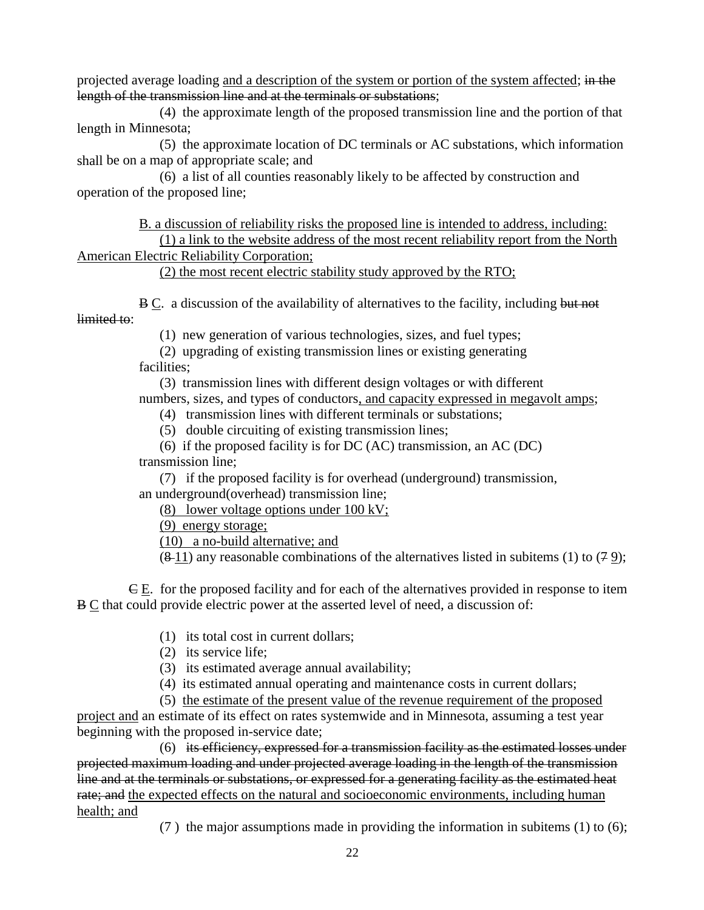projected average loading and a description of the system or portion of the system affected; in the length of the transmission line and at the terminals or substations;

(4) the approximate length of the proposed transmission line and the portion of that length in Minnesota;

(5) the approximate location of DC terminals or AC substations, which information shall be on a map of appropriate scale; and

(6) a list of all counties reasonably likely to be affected by construction and operation of the proposed line;

B. a discussion of reliability risks the proposed line is intended to address, including: (1) a link to the website address of the most recent reliability report from the North American Electric Reliability Corporation;

(2) the most recent electric stability study approved by the RTO;

B C. a discussion of the availability of alternatives to the facility, including but not limited to:

(1) new generation of various technologies, sizes, and fuel types;

(2) upgrading of existing transmission lines or existing generating facilities;

(3) transmission lines with different design voltages or with different numbers, sizes, and types of conductors, and capacity expressed in megavolt amps;

(4) transmission lines with different terminals or substations;

(5) double circuiting of existing transmission lines;

(6) if the proposed facility is for DC (AC) transmission, an AC (DC) transmission line;

(7) if the proposed facility is for overhead (underground) transmission, an underground(overhead) transmission line;

(8) lower voltage options under 100 kV;

(9) energy storage;

(10) a no-build alternative; and

 $(8-11)$  any reasonable combinations of the alternatives listed in subitems (1) to (79);

C E. for the proposed facility and for each of the alternatives provided in response to item  $B \subseteq$  that could provide electric power at the asserted level of need, a discussion of:

- (1) its total cost in current dollars;
- (2) its service life;

(3) its estimated average annual availability;

(4) its estimated annual operating and maintenance costs in current dollars;

(5) the estimate of the present value of the revenue requirement of the proposed project and an estimate of its effect on rates systemwide and in Minnesota, assuming a test year beginning with the proposed in-service date;

(6) its efficiency, expressed for a transmission facility as the estimated losses under projected maximum loading and under projected average loading in the length of the transmission line and at the terminals or substations, or expressed for a generating facility as the estimated heat rate; and the expected effects on the natural and socioeconomic environments, including human health; and

(7 ) the major assumptions made in providing the information in subitems (1) to (6);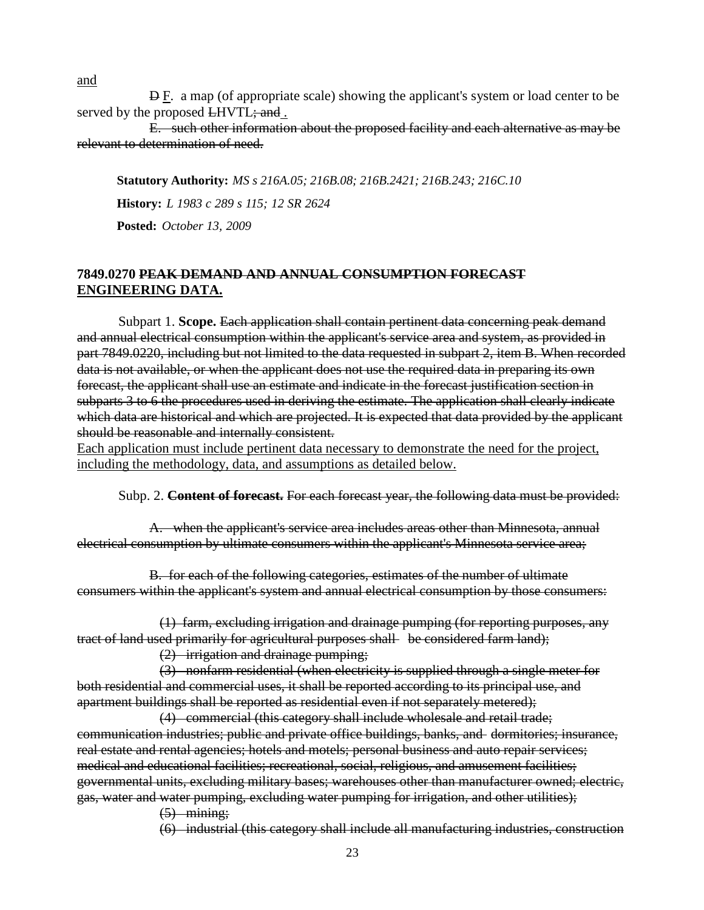and

 $\overline{P}E$ . a map (of appropriate scale) showing the applicant's system or load center to be served by the proposed LHVTL; and.

E. such other information about the proposed facility and each alternative as may be relevant to determination of need.

**Statutory Authority:** *MS s 216A.05; 216B.08; 216B.2421; 216B.243; 216C.10* **History:** *L 1983 c 289 s 115; 12 SR 2624*

**Posted:** *October 13, 2009*

## **7849.0270 PEAK DEMAND AND ANNUAL CONSUMPTION FORECAST ENGINEERING DATA.**

Subpart 1. **Scope.** Each application shall contain pertinent data concerning peak demand and annual electrical consumption within the applicant's service area and system, as provided in part 7849.0220, including but not limited to the data requested in subpart 2, item B. When recorded data is not available, or when the applicant does not use the required data in preparing its own forecast, the applicant shall use an estimate and indicate in the forecast justification section in subparts 3 to 6 the procedures used in deriving the estimate. The application shall clearly indicate which data are historical and which are projected. It is expected that data provided by the applicant should be reasonable and internally consistent.

Each application must include pertinent data necessary to demonstrate the need for the project, including the methodology, data, and assumptions as detailed below.

Subp. 2. **Content of forecast.** For each forecast year, the following data must be provided:

A. when the applicant's service area includes areas other than Minnesota, annual electrical consumption by ultimate consumers within the applicant's Minnesota service area;

B. for each of the following categories, estimates of the number of ultimate consumers within the applicant's system and annual electrical consumption by those consumers:

(1) farm, excluding irrigation and drainage pumping (for reporting purposes, any tract of land used primarily for agricultural purposes shall be considered farm land);

(2) irrigation and drainage pumping;

(3) nonfarm residential (when electricity is supplied through a single meter for both residential and commercial uses, it shall be reported according to its principal use, and apartment buildings shall be reported as residential even if not separately metered);

(4) commercial (this category shall include wholesale and retail trade; communication industries; public and private office buildings, banks, and dormitories; insurance, real estate and rental agencies; hotels and motels; personal business and auto repair services; medical and educational facilities; recreational, social, religious, and amusement facilities; governmental units, excluding military bases; warehouses other than manufacturer owned; electric, gas, water and water pumping, excluding water pumping for irrigation, and other utilities);

 $(5)$  mining;

(6) industrial (this category shall include all manufacturing industries, construction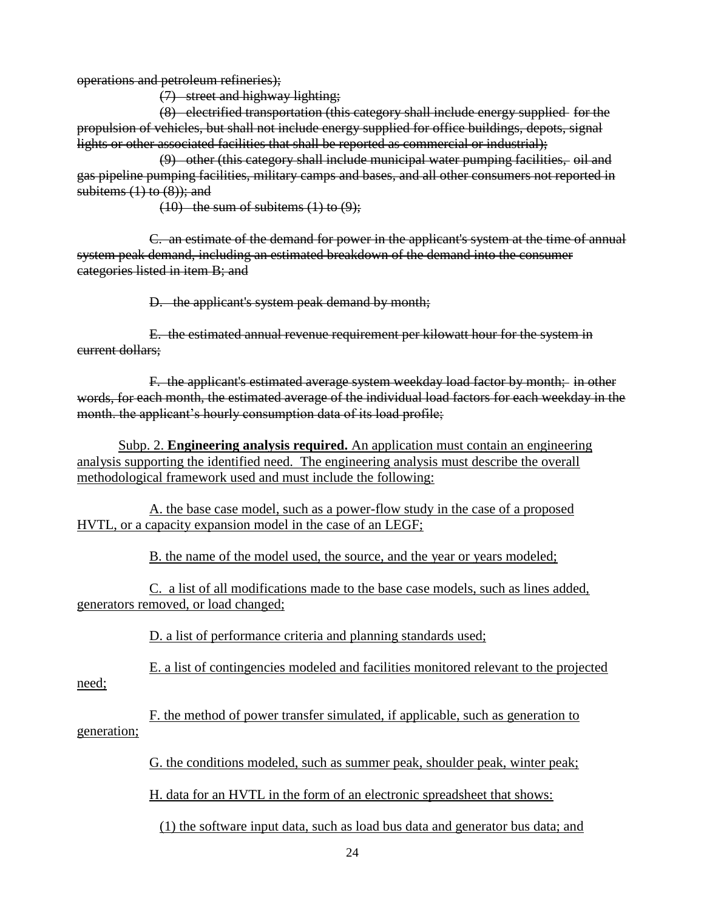operations and petroleum refineries);

(7) street and highway lighting;

(8) electrified transportation (this category shall include energy supplied for the propulsion of vehicles, but shall not include energy supplied for office buildings, depots, signal lights or other associated facilities that shall be reported as commercial or industrial);

(9) other (this category shall include municipal water pumping facilities, oil and gas pipeline pumping facilities, military camps and bases, and all other consumers not reported in subitems  $(1)$  to  $(8)$ ; and

 $(10)$  the sum of subitems  $(1)$  to  $(9)$ ;

C. an estimate of the demand for power in the applicant's system at the time of annual system peak demand, including an estimated breakdown of the demand into the consumer categories listed in item B; and

D. the applicant's system peak demand by month;

E. the estimated annual revenue requirement per kilowatt hour for the system in current dollars;

F. the applicant's estimated average system weekday load factor by month; in other words, for each month, the estimated average of the individual load factors for each weekday in the month, the applicant's hourly consumption data of its load profile;

Subp. 2. **Engineering analysis required.** An application must contain an engineering analysis supporting the identified need. The engineering analysis must describe the overall methodological framework used and must include the following:

A. the base case model, such as a power-flow study in the case of a proposed HVTL, or a capacity expansion model in the case of an LEGF;

B. the name of the model used, the source, and the year or years modeled;

C. a list of all modifications made to the base case models, such as lines added, generators removed, or load changed;

D. a list of performance criteria and planning standards used;

E. a list of contingencies modeled and facilities monitored relevant to the projected

need;

F. the method of power transfer simulated, if applicable, such as generation to generation;

G. the conditions modeled, such as summer peak, shoulder peak, winter peak;

H. data for an HVTL in the form of an electronic spreadsheet that shows:

(1) the software input data, such as load bus data and generator bus data; and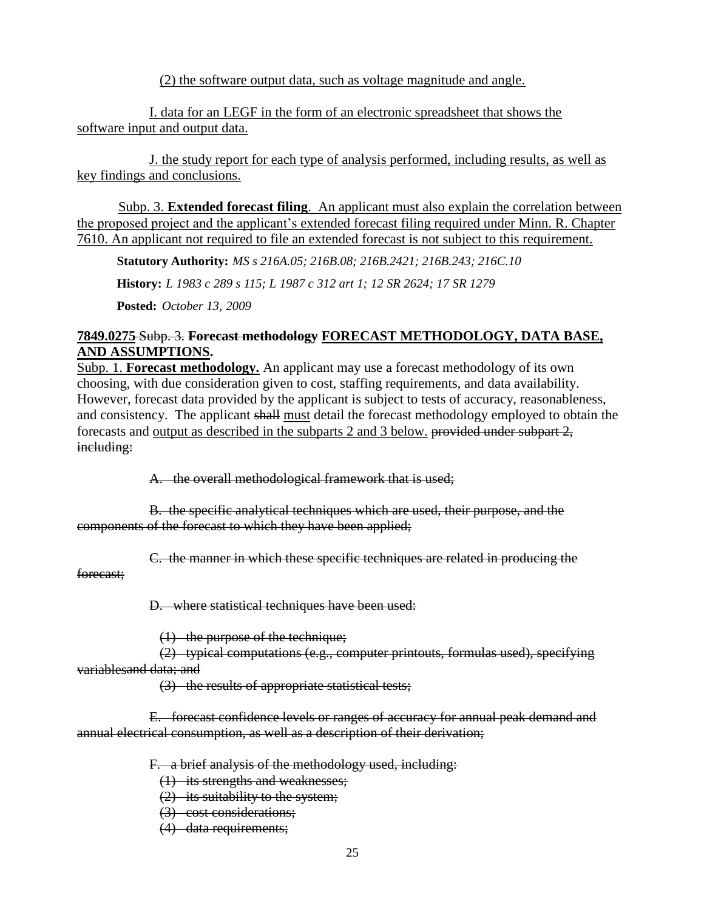(2) the software output data, such as voltage magnitude and angle.

I. data for an LEGF in the form of an electronic spreadsheet that shows the software input and output data.

J. the study report for each type of analysis performed, including results, as well as key findings and conclusions.

Subp. 3. **Extended forecast filing**. An applicant must also explain the correlation between the proposed project and the applicant's extended forecast filing required under Minn. R. Chapter 7610. An applicant not required to file an extended forecast is not subject to this requirement.

**Statutory Authority:** *MS s 216A.05; 216B.08; 216B.2421; 216B.243; 216C.10*

**History:** *L 1983 c 289 s 115; L 1987 c 312 art 1; 12 SR 2624; 17 SR 1279*

**Posted:** *October 13, 2009*

## **7849.0275** Subp. 3. **Forecast methodology FORECAST METHODOLOGY, DATA BASE, AND ASSUMPTIONS.**

Subp. 1. **Forecast methodology.** An applicant may use a forecast methodology of its own choosing, with due consideration given to cost, staffing requirements, and data availability. However, forecast data provided by the applicant is subject to tests of accuracy, reasonableness, and consistency. The applicant shall must detail the forecast methodology employed to obtain the forecasts and output as described in the subparts 2 and 3 below. provided under subpart 2, including:

A. the overall methodological framework that is used;

B. the specific analytical techniques which are used, their purpose, and the components of the forecast to which they have been applied;

C. the manner in which these specific techniques are related in producing the

forecast;

D. where statistical techniques have been used:

(1) the purpose of the technique;

(2) typical computations (e.g., computer printouts, formulas used), specifying variablesand data; and

(3) the results of appropriate statistical tests;

E. forecast confidence levels or ranges of accuracy for annual peak demand and annual electrical consumption, as well as a description of their derivation;

F. a brief analysis of the methodology used, including:

(1) its strengths and weaknesses;

(2) its suitability to the system;

(3) cost considerations;

(4) data requirements;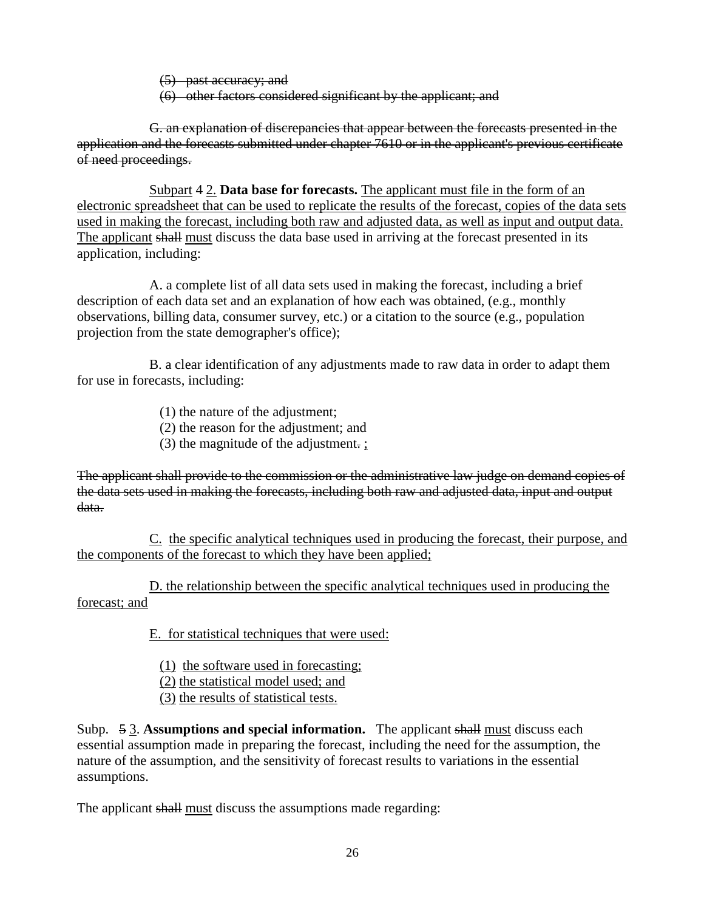(5) past accuracy; and

(6) other factors considered significant by the applicant; and

G. an explanation of discrepancies that appear between the forecasts presented in the application and the forecasts submitted under chapter 7610 or in the applicant's previous certificate of need proceedings.

Subpart 4 2. **Data base for forecasts.** The applicant must file in the form of an electronic spreadsheet that can be used to replicate the results of the forecast, copies of the data sets used in making the forecast, including both raw and adjusted data, as well as input and output data. The applicant shall must discuss the data base used in arriving at the forecast presented in its application, including:

A. a complete list of all data sets used in making the forecast, including a brief description of each data set and an explanation of how each was obtained, (e.g., monthly observations, billing data, consumer survey, etc.) or a citation to the source (e.g., population projection from the state demographer's office);

B. a clear identification of any adjustments made to raw data in order to adapt them for use in forecasts, including:

- (1) the nature of the adjustment;
- (2) the reason for the adjustment; and
- (3) the magnitude of the adjustment. ;

The applicant shall provide to the commission or the administrative law judge on demand copies of the data sets used in making the forecasts, including both raw and adjusted data, input and output data.

C. the specific analytical techniques used in producing the forecast, their purpose, and the components of the forecast to which they have been applied;

D. the relationship between the specific analytical techniques used in producing the forecast; and

E. for statistical techniques that were used:

- (1) the software used in forecasting;
- (2) the statistical model used; and
- (3) the results of statistical tests.

Subp. 5 3. **Assumptions and special information.** The applicant shall must discuss each essential assumption made in preparing the forecast, including the need for the assumption, the nature of the assumption, and the sensitivity of forecast results to variations in the essential assumptions.

The applicant shall must discuss the assumptions made regarding: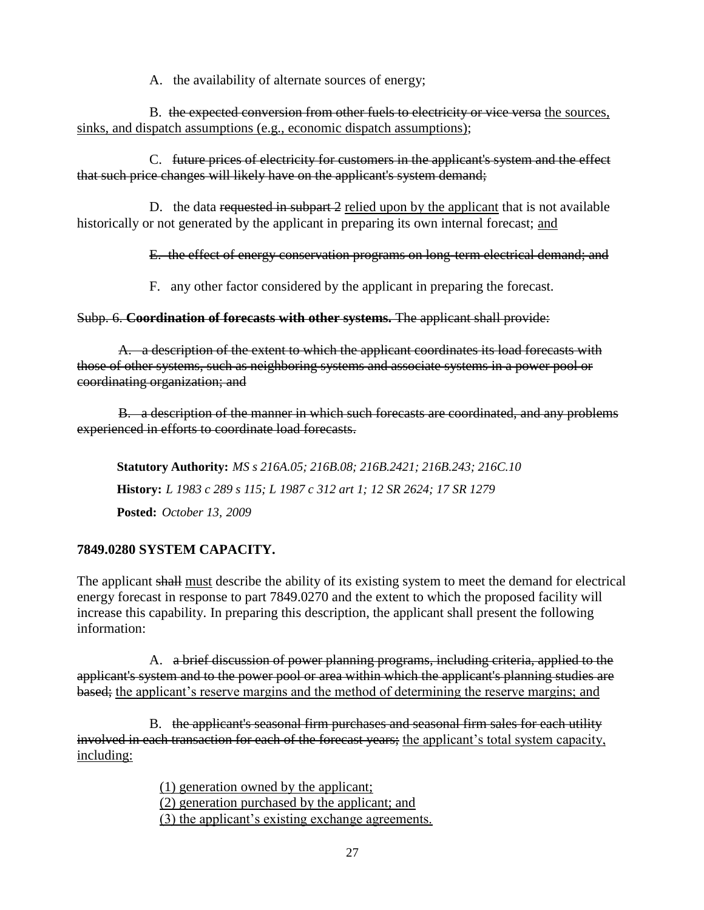A. the availability of alternate sources of energy;

B. the expected conversion from other fuels to electricity or vice versa the sources, sinks, and dispatch assumptions (e.g., economic dispatch assumptions);

C. future prices of electricity for customers in the applicant's system and the effect that such price changes will likely have on the applicant's system demand;

D. the data requested in subpart 2 relied upon by the applicant that is not available historically or not generated by the applicant in preparing its own internal forecast; and

E. the effect of energy conservation programs on long-term electrical demand; and

F. any other factor considered by the applicant in preparing the forecast.

Subp. 6. **Coordination of forecasts with other systems.** The applicant shall provide:

A. a description of the extent to which the applicant coordinates its load forecasts with those of other systems, such as neighboring systems and associate systems in a power pool or coordinating organization; and

B. a description of the manner in which such forecasts are coordinated, and any problems experienced in efforts to coordinate load forecasts.

**Statutory Authority:** *MS s 216A.05; 216B.08; 216B.2421; 216B.243; 216C.10* **History:** *L 1983 c 289 s 115; L 1987 c 312 art 1; 12 SR 2624; 17 SR 1279* **Posted:** *October 13, 2009*

# **7849.0280 SYSTEM CAPACITY.**

The applicant shall must describe the ability of its existing system to meet the demand for electrical energy forecast in response to part 7849.0270 and the extent to which the proposed facility will increase this capability. In preparing this description, the applicant shall present the following information:

A. a brief discussion of power planning programs, including criteria, applied to the applicant's system and to the power pool or area within which the applicant's planning studies are based; the applicant's reserve margins and the method of determining the reserve margins; and

B. the applicant's seasonal firm purchases and seasonal firm sales for each utility involved in each transaction for each of the forecast years; the applicant's total system capacity, including:

> (1) generation owned by the applicant; (2) generation purchased by the applicant; and (3) the applicant's existing exchange agreements.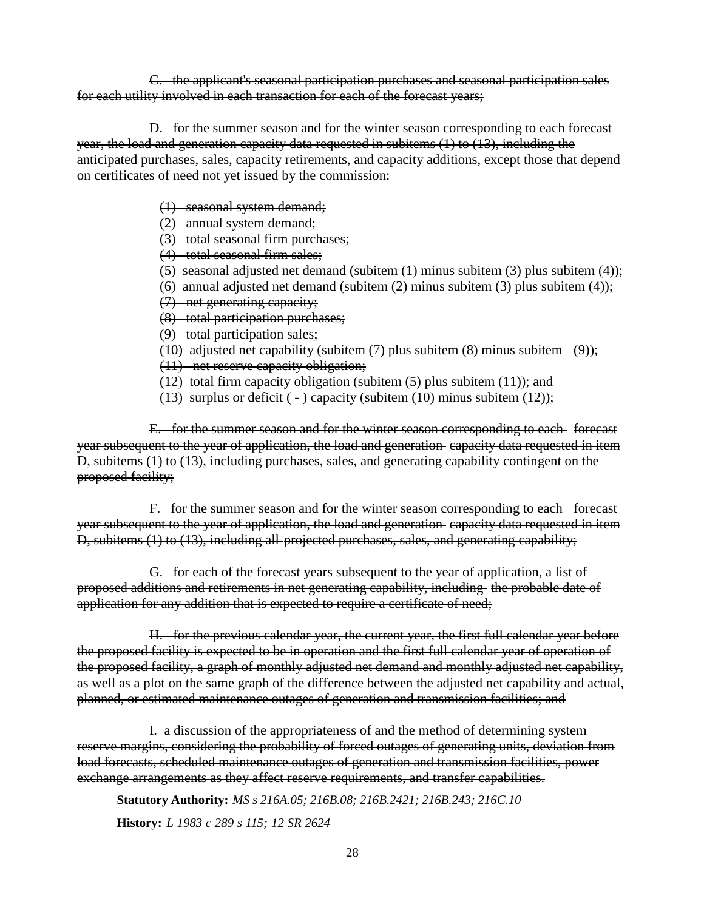C. the applicant's seasonal participation purchases and seasonal participation sales for each utility involved in each transaction for each of the forecast years;

D. for the summer season and for the winter season corresponding to each forecast year, the load and generation capacity data requested in subitems (1) to (13), including the anticipated purchases, sales, capacity retirements, and capacity additions, except those that depend on certificates of need not yet issued by the commission:

(1) seasonal system demand;

(2) annual system demand;

(3) total seasonal firm purchases;

(4) total seasonal firm sales;

(5) seasonal adjusted net demand (subitem (1) minus subitem (3) plus subitem (4));

(6) annual adjusted net demand (subitem (2) minus subitem (3) plus subitem (4));

(7) net generating capacity;

(8) total participation purchases;

(9) total participation sales;

(10) adjusted net capability (subitem  $(7)$  plus subitem  $(8)$  minus subitem  $(9)$ );

(11) net reserve capacity obligation;

(12) total firm capacity obligation (subitem (5) plus subitem (11)); and

(13) surplus or deficit  $(-)$  capacity (subitem  $(10)$  minus subitem  $(12)$ );

E. for the summer season and for the winter season corresponding to each forecast year subsequent to the year of application, the load and generation capacity data requested in item D, subitems (1) to (13), including purchases, sales, and generating capability contingent on the proposed facility;

F. for the summer season and for the winter season corresponding to each forecast year subsequent to the year of application, the load and generation capacity data requested in item D, subitems (1) to (13), including all projected purchases, sales, and generating capability;

G. for each of the forecast years subsequent to the year of application, a list of proposed additions and retirements in net generating capability, including the probable date of application for any addition that is expected to require a certificate of need;

H. for the previous calendar year, the current year, the first full calendar year before the proposed facility is expected to be in operation and the first full calendar year of operation of the proposed facility, a graph of monthly adjusted net demand and monthly adjusted net capability, as well as a plot on the same graph of the difference between the adjusted net capability and actual, planned, or estimated maintenance outages of generation and transmission facilities; and

I. a discussion of the appropriateness of and the method of determining system reserve margins, considering the probability of forced outages of generating units, deviation from load forecasts, scheduled maintenance outages of generation and transmission facilities, power exchange arrangements as they affect reserve requirements, and transfer capabilities.

**Statutory Authority:** *MS s 216A.05; 216B.08; 216B.2421; 216B.243; 216C.10* **History:** *L 1983 c 289 s 115; 12 SR 2624*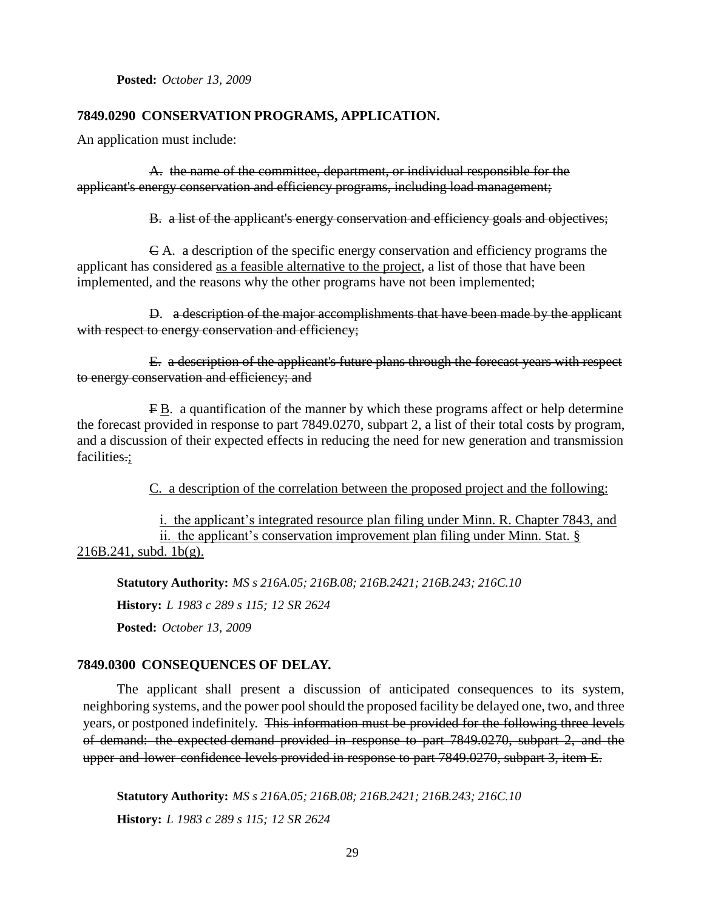**Posted:** *October 13, 2009*

### **7849.0290 CONSERVATION PROGRAMS, APPLICATION.**

An application must include:

A. the name of the committee, department, or individual responsible for the applicant's energy conservation and efficiency programs, including load management;

B. a list of the applicant's energy conservation and efficiency goals and objectives;

C A. a description of the specific energy conservation and efficiency programs the applicant has considered as a feasible alternative to the project, a list of those that have been implemented, and the reasons why the other programs have not been implemented;

D. a description of the major accomplishments that have been made by the applicant with respect to energy conservation and efficiency;

E. a description of the applicant's future plans through the forecast years with respect to energy conservation and efficiency; and

F B. a quantification of the manner by which these programs affect or help determine the forecast provided in response to part 7849.0270, subpart 2, a list of their total costs by program, and a discussion of their expected effects in reducing the need for new generation and transmission facilities.;

C. a description of the correlation between the proposed project and the following:

i. the applicant's integrated resource plan filing under Minn. R. Chapter 7843, and ii. the applicant's conservation improvement plan filing under Minn. Stat. §  $216B.241$ , subd. 1b(g).

**Statutory Authority:** *MS s 216A.05; 216B.08; 216B.2421; 216B.243; 216C.10*

**History:** *L 1983 c 289 s 115; 12 SR 2624*

**Posted:** *October 13, 2009*

### **7849.0300 CONSEQUENCES OF DELAY.**

The applicant shall present a discussion of anticipated consequences to its system, neighboring systems, and the power poolshould the proposed facility be delayed one, two, and three years, or postponed indefinitely. This information must be provided for the following three levels of demand: the expected demand provided in response to part 7849.0270, subpart 2, and the upper and lower confidence levels provided in response to part 7849.0270, subpart 3, item E.

**Statutory Authority:** *MS s 216A.05; 216B.08; 216B.2421; 216B.243; 216C.10* **History:** *L 1983 c 289 s 115; 12 SR 2624*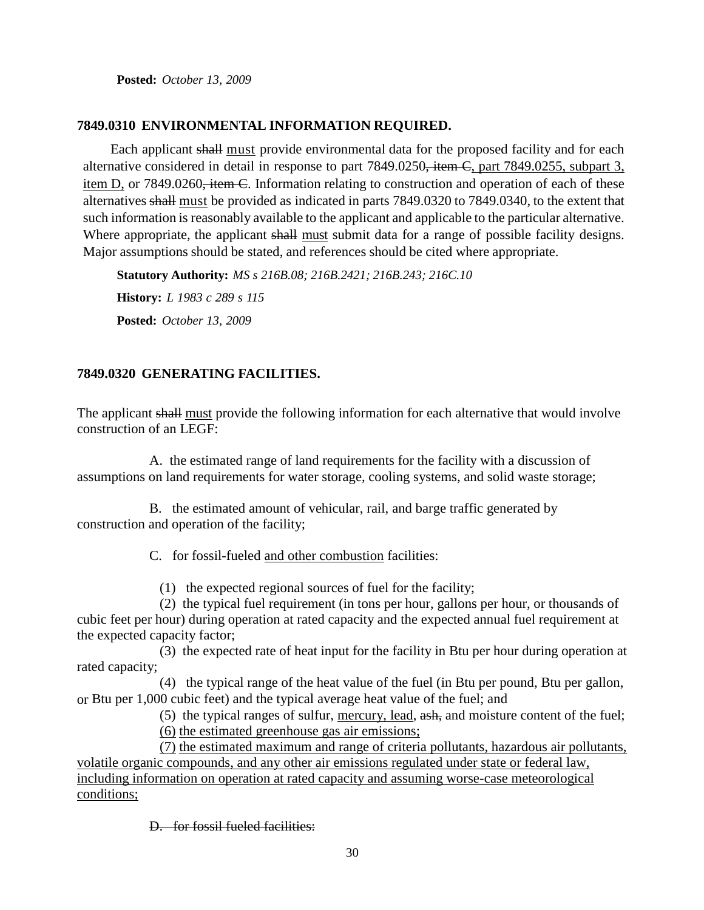**Posted:** *October 13, 2009*

### **7849.0310 ENVIRONMENTAL INFORMATION REQUIRED.**

Each applicant shall must provide environmental data for the proposed facility and for each alternative considered in detail in response to part 7849.0250, item C, part 7849.0255, subpart 3, item D, or 7849.0260<del>, item C</del>. Information relating to construction and operation of each of these alternatives shall must be provided as indicated in parts 7849.0320 to 7849.0340, to the extent that such information is reasonably available to the applicant and applicable to the particular alternative. Where appropriate, the applicant shall must submit data for a range of possible facility designs. Major assumptions should be stated, and references should be cited where appropriate.

**Statutory Authority:** *MS s 216B.08; 216B.2421; 216B.243; 216C.10* **History:** *L 1983 c 289 s 115* **Posted:** *October 13, 2009*

# **7849.0320 GENERATING FACILITIES.**

The applicant shall must provide the following information for each alternative that would involve construction of an LEGF:

A. the estimated range of land requirements for the facility with a discussion of assumptions on land requirements for water storage, cooling systems, and solid waste storage;

B. the estimated amount of vehicular, rail, and barge traffic generated by construction and operation of the facility;

C. for fossil-fueled and other combustion facilities:

(1) the expected regional sources of fuel for the facility;

(2) the typical fuel requirement (in tons per hour, gallons per hour, or thousands of cubic feet per hour) during operation at rated capacity and the expected annual fuel requirement at the expected capacity factor;

(3) the expected rate of heat input for the facility in Btu per hour during operation at rated capacity;

(4) the typical range of the heat value of the fuel (in Btu per pound, Btu per gallon, or Btu per 1,000 cubic feet) and the typical average heat value of the fuel; and

(5) the typical ranges of sulfur, mercury, lead, ash, and moisture content of the fuel; (6) the estimated greenhouse gas air emissions;

(7) the estimated maximum and range of criteria pollutants, hazardous air pollutants, volatile organic compounds, and any other air emissions regulated under state or federal law, including information on operation at rated capacity and assuming worse-case meteorological conditions;

D. for fossil fueled facilities: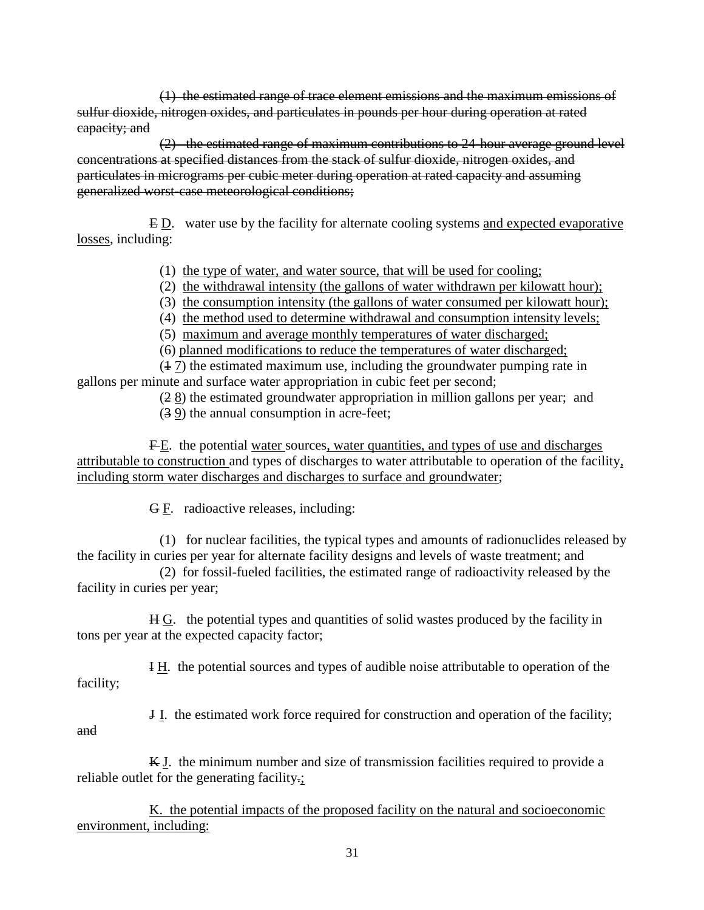(1) the estimated range of trace element emissions and the maximum emissions of sulfur dioxide, nitrogen oxides, and particulates in pounds per hour during operation at rated capacity; and

(2) the estimated range of maximum contributions to 24-hour average ground level concentrations at specified distances from the stack of sulfur dioxide, nitrogen oxides, and particulates in micrograms per cubic meter during operation at rated capacity and assuming generalized worst-case meteorological conditions;

E D. water use by the facility for alternate cooling systems and expected evaporative losses, including:

(1) the type of water, and water source, that will be used for cooling;

- (2) the withdrawal intensity (the gallons of water withdrawn per kilowatt hour);
- (3) the consumption intensity (the gallons of water consumed per kilowatt hour);
- (4) the method used to determine withdrawal and consumption intensity levels;
- (5) maximum and average monthly temperatures of water discharged;

(6) planned modifications to reduce the temperatures of water discharged;

(1 7) the estimated maximum use, including the groundwater pumping rate in gallons per minute and surface water appropriation in cubic feet per second;

(2 8) the estimated groundwater appropriation in million gallons per year; and

(3 9) the annual consumption in acre-feet;

F E. the potential water sources, water quantities, and types of use and discharges attributable to construction and types of discharges to water attributable to operation of the facility, including storm water discharges and discharges to surface and groundwater;

G F. radioactive releases, including:

and

(1) for nuclear facilities, the typical types and amounts of radionuclides released by the facility in curies per year for alternate facility designs and levels of waste treatment; and

(2) for fossil-fueled facilities, the estimated range of radioactivity released by the facility in curies per year;

H G. the potential types and quantities of solid wastes produced by the facility in tons per year at the expected capacity factor;

I H. the potential sources and types of audible noise attributable to operation of the facility;

J I. the estimated work force required for construction and operation of the facility;

K J. the minimum number and size of transmission facilities required to provide a reliable outlet for the generating facility.;

K. the potential impacts of the proposed facility on the natural and socioeconomic environment, including: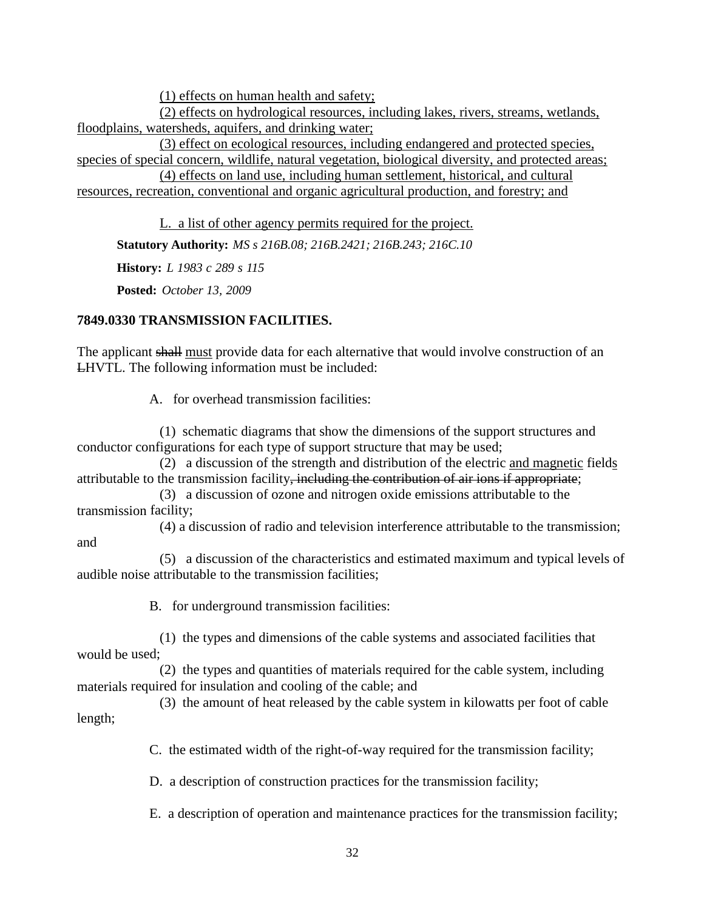(1) effects on human health and safety;

(2) effects on hydrological resources, including lakes, rivers, streams, wetlands, floodplains, watersheds, aquifers, and drinking water;

(3) effect on ecological resources, including endangered and protected species, species of special concern, wildlife, natural vegetation, biological diversity, and protected areas;

(4) effects on land use, including human settlement, historical, and cultural resources, recreation, conventional and organic agricultural production, and forestry; and

L. a list of other agency permits required for the project.

**Statutory Authority:** *MS s 216B.08; 216B.2421; 216B.243; 216C.10*

**History:** *L 1983 c 289 s 115*

**Posted:** *October 13, 2009*

### **7849.0330 TRANSMISSION FACILITIES.**

The applicant shall must provide data for each alternative that would involve construction of an LHVTL. The following information must be included:

A. for overhead transmission facilities:

(1) schematic diagrams that show the dimensions of the support structures and conductor configurations for each type of support structure that may be used;

(2) a discussion of the strength and distribution of the electric and magnetic fields attributable to the transmission facility, including the contribution of air ions if appropriate;

(3) a discussion of ozone and nitrogen oxide emissions attributable to the transmission facility;

(4) a discussion of radio and television interference attributable to the transmission; and

(5) a discussion of the characteristics and estimated maximum and typical levels of audible noise attributable to the transmission facilities;

B. for underground transmission facilities:

(1) the types and dimensions of the cable systems and associated facilities that would be used;

(2) the types and quantities of materials required for the cable system, including materials required for insulation and cooling of the cable; and

(3) the amount of heat released by the cable system in kilowatts per foot of cable length;

C. the estimated width of the right-of-way required for the transmission facility;

D. a description of construction practices for the transmission facility;

E. a description of operation and maintenance practices for the transmission facility;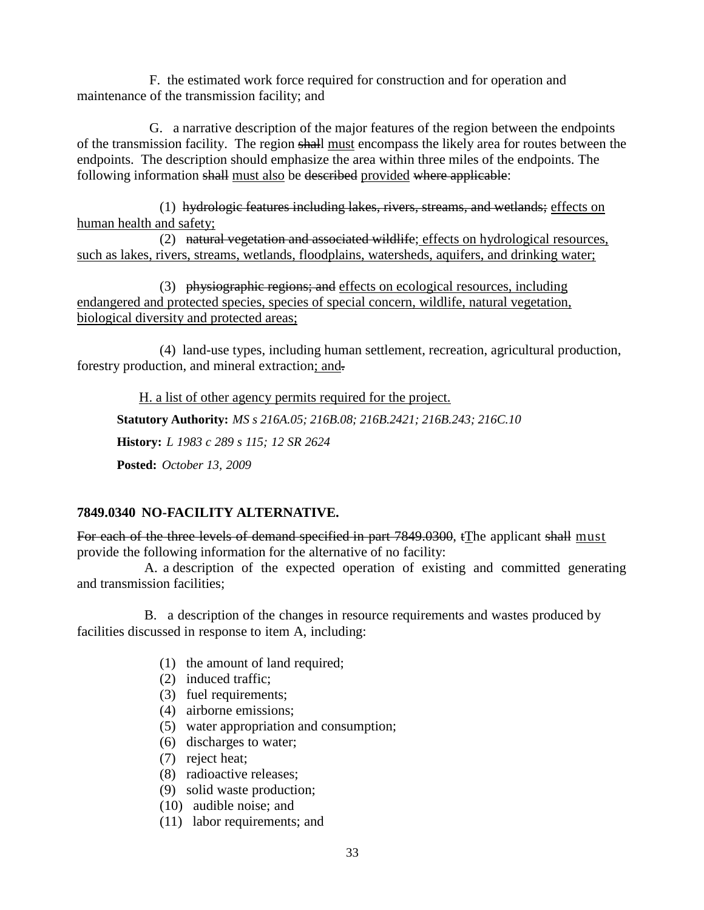F. the estimated work force required for construction and for operation and maintenance of the transmission facility; and

G. a narrative description of the major features of the region between the endpoints of the transmission facility. The region shall must encompass the likely area for routes between the endpoints. The description should emphasize the area within three miles of the endpoints. The following information shall must also be described provided where applicable:

(1) hydrologic features including lakes, rivers, streams, and wetlands; effects on human health and safety;

(2) natural vegetation and associated wildlife; effects on hydrological resources, such as lakes, rivers, streams, wetlands, floodplains, watersheds, aquifers, and drinking water;

(3) physiographic regions; and effects on ecological resources, including endangered and protected species, species of special concern, wildlife, natural vegetation, biological diversity and protected areas;

(4) land-use types, including human settlement, recreation, agricultural production, forestry production, and mineral extraction; and.

H. a list of other agency permits required for the project. **Statutory Authority:** *MS s 216A.05; 216B.08; 216B.2421; 216B.243; 216C.10* **History:** *L 1983 c 289 s 115; 12 SR 2624* **Posted:** *October 13, 2009*

# **7849.0340 NO-FACILITY ALTERNATIVE.**

For each of the three levels of demand specified in part 7849.0300, tThe applicant shall must provide the following information for the alternative of no facility:

A. a description of the expected operation of existing and committed generating and transmission facilities;

B. a description of the changes in resource requirements and wastes produced by facilities discussed in response to item A, including:

- (1) the amount of land required;
- (2) induced traffic;
- (3) fuel requirements;
- (4) airborne emissions;
- (5) water appropriation and consumption;
- (6) discharges to water;
- (7) reject heat;
- (8) radioactive releases;
- (9) solid waste production;
- (10) audible noise; and
- (11) labor requirements; and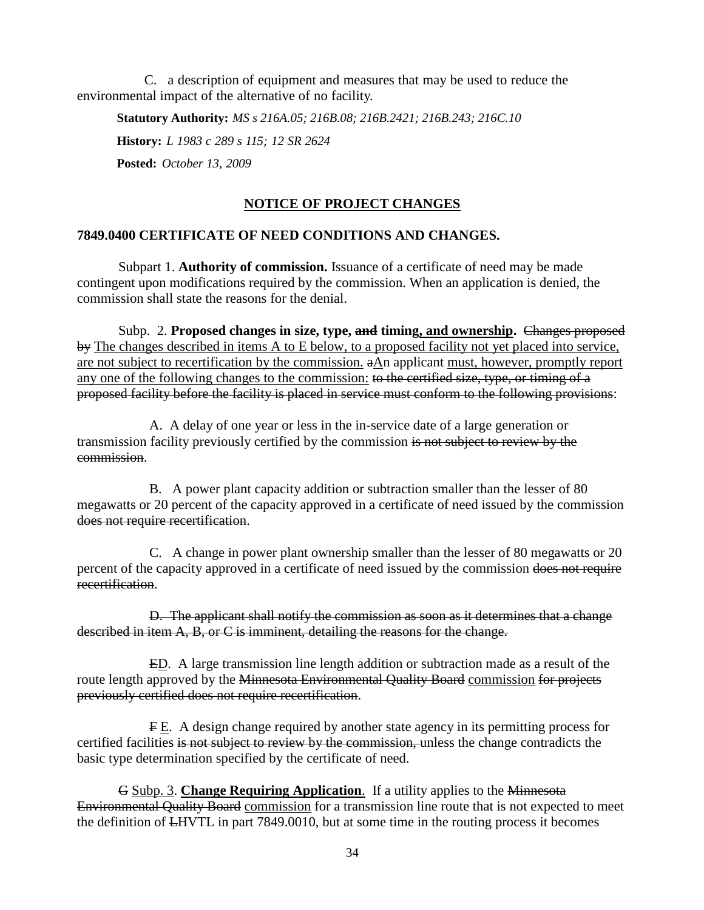C. a description of equipment and measures that may be used to reduce the environmental impact of the alternative of no facility.

**Statutory Authority:** *MS s 216A.05; 216B.08; 216B.2421; 216B.243; 216C.10* **History:** *L 1983 c 289 s 115; 12 SR 2624* **Posted:** *October 13, 2009*

### **NOTICE OF PROJECT CHANGES**

### **7849.0400 CERTIFICATE OF NEED CONDITIONS AND CHANGES.**

Subpart 1. **Authority of commission.** Issuance of a certificate of need may be made contingent upon modifications required by the commission. When an application is denied, the commission shall state the reasons for the denial.

Subp. 2. **Proposed changes in size, type, and timing, and ownership.** Changes proposed by The changes described in items A to E below, to a proposed facility not yet placed into service, are not subject to recertification by the commission. aAn applicant must, however, promptly report any one of the following changes to the commission: to the certified size, type, or timing of a proposed facility before the facility is placed in service must conform to the following provisions:

A. A delay of one year or less in the in-service date of a large generation or transmission facility previously certified by the commission is not subject to review by the commission.

B. A power plant capacity addition or subtraction smaller than the lesser of 80 megawatts or 20 percent of the capacity approved in a certificate of need issued by the commission does not require recertification.

C. A change in power plant ownership smaller than the lesser of 80 megawatts or 20 percent of the capacity approved in a certificate of need issued by the commission does not require recertification.

D. The applicant shall notify the commission as soon as it determines that a change described in item A, B, or C is imminent, detailing the reasons for the change.

ED. A large transmission line length addition or subtraction made as a result of the route length approved by the Minnesota Environmental Quality Board commission for projects previously certified does not require recertification.

F E. A design change required by another state agency in its permitting process for certified facilities is not subject to review by the commission, unless the change contradicts the basic type determination specified by the certificate of need.

G Subp. 3. **Change Requiring Application**. If a utility applies to the Minnesota Environmental Quality Board commission for a transmission line route that is not expected to meet the definition of LHVTL in part 7849.0010, but at some time in the routing process it becomes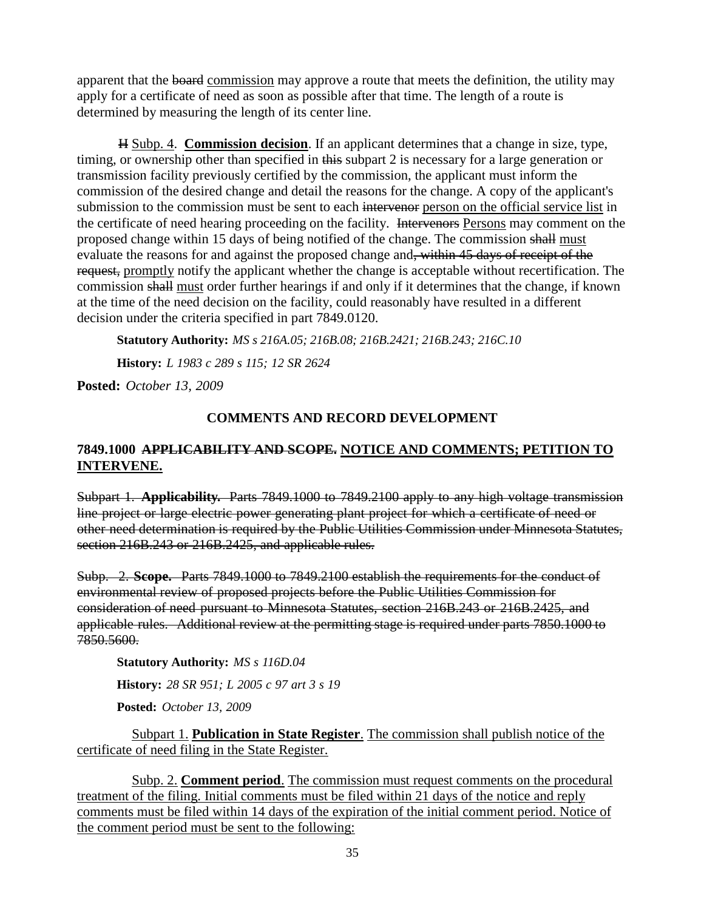apparent that the board commission may approve a route that meets the definition, the utility may apply for a certificate of need as soon as possible after that time. The length of a route is determined by measuring the length of its center line.

H Subp. 4. **Commission decision**. If an applicant determines that a change in size, type, timing, or ownership other than specified in this subpart 2 is necessary for a large generation or transmission facility previously certified by the commission, the applicant must inform the commission of the desired change and detail the reasons for the change. A copy of the applicant's submission to the commission must be sent to each intervenor person on the official service list in the certificate of need hearing proceeding on the facility. Intervenors Persons may comment on the proposed change within 15 days of being notified of the change. The commission shall must evaluate the reasons for and against the proposed change and, within 45 days of receipt of the request, promptly notify the applicant whether the change is acceptable without recertification. The commission shall must order further hearings if and only if it determines that the change, if known at the time of the need decision on the facility, could reasonably have resulted in a different decision under the criteria specified in part 7849.0120.

**Statutory Authority:** *MS s 216A.05; 216B.08; 216B.2421; 216B.243; 216C.10*

**History:** *L 1983 c 289 s 115; 12 SR 2624*

**Posted:** *October 13, 2009*

# **COMMENTS AND RECORD DEVELOPMENT**

# **7849.1000 APPLICABILITY AND SCOPE. NOTICE AND COMMENTS; PETITION TO INTERVENE.**

Subpart 1. **Applicability.** Parts 7849.1000 to 7849.2100 apply to any high voltage transmission line project or large electric power generating plant project for which a certificate of need or other need determination is required by the Public Utilities Commission under Minnesota Statutes, section 216B.243 or 216B.2425, and applicable rules.

Subp. 2. **Scope.** Parts 7849.1000 to 7849.2100 establish the requirements for the conduct of environmental review of proposed projects before the Public Utilities Commission for consideration of need pursuant to Minnesota Statutes, section 216B.243 or 216B.2425, and applicable rules. Additional review at the permitting stage is required under parts 7850.1000 to 7850.5600.

**Statutory Authority:** *MS s 116D.04* **History:** *28 SR 951; L 2005 c 97 art 3 s 19* **Posted:** *October 13, 2009*

Subpart 1. **Publication in State Register**. The commission shall publish notice of the certificate of need filing in the State Register.

Subp. 2. **Comment period**. The commission must request comments on the procedural treatment of the filing. Initial comments must be filed within 21 days of the notice and reply comments must be filed within 14 days of the expiration of the initial comment period. Notice of the comment period must be sent to the following: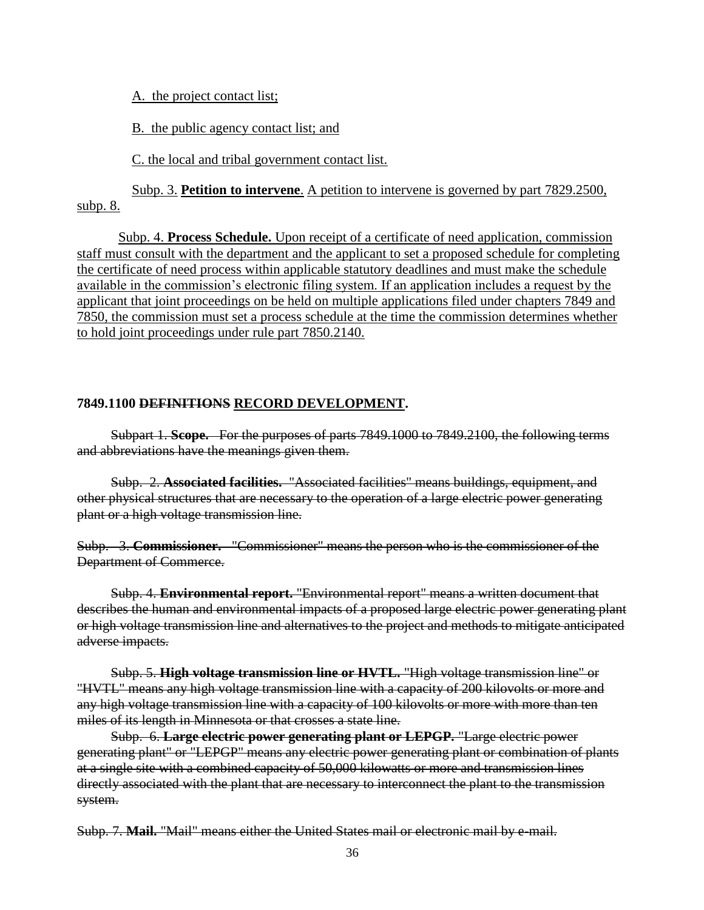A. the project contact list;

B. the public agency contact list; and

C. the local and tribal government contact list.

Subp. 3. **Petition to intervene**. A petition to intervene is governed by part 7829.2500, subp. 8.

Subp. 4. **Process Schedule.** Upon receipt of a certificate of need application, commission staff must consult with the department and the applicant to set a proposed schedule for completing the certificate of need process within applicable statutory deadlines and must make the schedule available in the commission's electronic filing system. If an application includes a request by the applicant that joint proceedings on be held on multiple applications filed under chapters 7849 and 7850, the commission must set a process schedule at the time the commission determines whether to hold joint proceedings under rule part 7850.2140.

### **7849.1100 DEFINITIONS RECORD DEVELOPMENT.**

Subpart 1. **Scope.** For the purposes of parts 7849.1000 to 7849.2100, the following terms and abbreviations have the meanings given them.

Subp. 2. **Associated facilities.** "Associated facilities" means buildings, equipment, and other physical structures that are necessary to the operation of a large electric power generating plant or a high voltage transmission line.

Subp. 3. **Commissioner.** "Commissioner" means the person who is the commissioner of the Department of Commerce.

Subp. 4. **Environmental report.** "Environmental report" means a written document that describes the human and environmental impacts of a proposed large electric power generating plant or high voltage transmission line and alternatives to the project and methods to mitigate anticipated adverse impacts.

Subp. 5. **High voltage transmission line or HVTL.** "High voltage transmission line" or "HVTL" means any high voltage transmission line with a capacity of 200 kilovolts or more and any high voltage transmission line with a capacity of 100 kilovolts or more with more than ten miles of its length in Minnesota or that crosses a state line.

Subp. 6. **Large electric power generating plant or LEPGP.** "Large electric power generating plant" or "LEPGP" means any electric power generating plant or combination of plants at a single site with a combined capacity of 50,000 kilowatts or more and transmission lines directly associated with the plant that are necessary to interconnect the plant to the transmission system.

Subp. 7. **Mail.** "Mail" means either the United States mail or electronic mail by e-mail.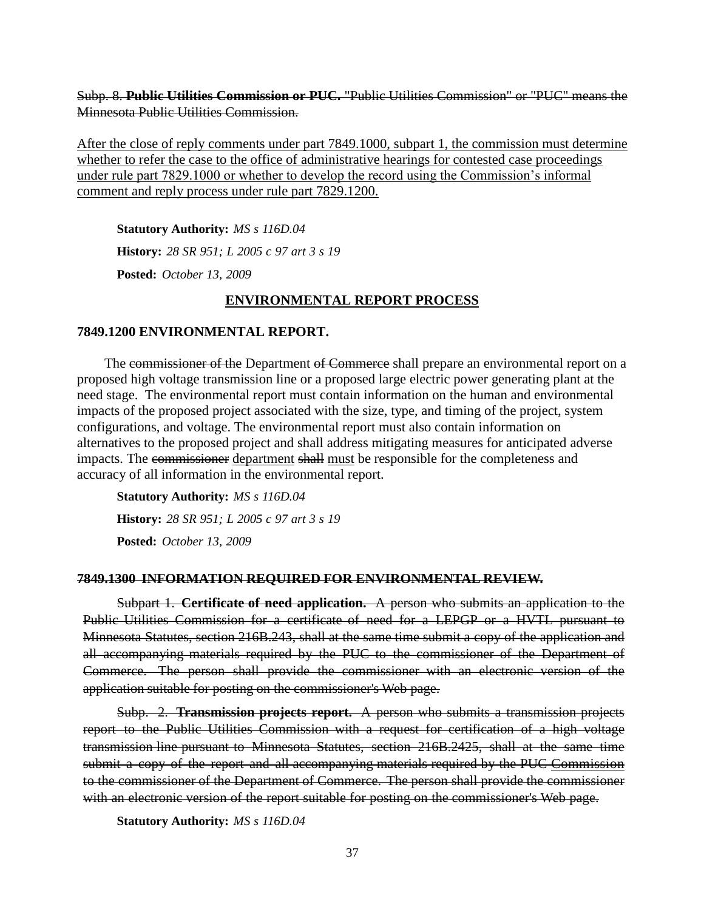Subp. 8. **Public Utilities Commission or PUC.** "Public Utilities Commission" or "PUC" means the Minnesota Public Utilities Commission.

After the close of reply comments under part 7849.1000, subpart 1, the commission must determine whether to refer the case to the office of administrative hearings for contested case proceedings under rule part 7829.1000 or whether to develop the record using the Commission's informal comment and reply process under rule part 7829.1200.

**Statutory Authority:** *MS s 116D.04* **History:** *28 SR 951; L 2005 c 97 art 3 s 19* **Posted:** *October 13, 2009*

### **ENVIRONMENTAL REPORT PROCESS**

#### **7849.1200 ENVIRONMENTAL REPORT.**

The commissioner of the Department of Commerce shall prepare an environmental report on a proposed high voltage transmission line or a proposed large electric power generating plant at the need stage. The environmental report must contain information on the human and environmental impacts of the proposed project associated with the size, type, and timing of the project, system configurations, and voltage. The environmental report must also contain information on alternatives to the proposed project and shall address mitigating measures for anticipated adverse impacts. The commissioner department shall must be responsible for the completeness and accuracy of all information in the environmental report.

**Statutory Authority:** *MS s 116D.04* **History:** *28 SR 951; L 2005 c 97 art 3 s 19* **Posted:** *October 13, 2009*

#### **7849.1300 INFORMATION REQUIRED FOR ENVIRONMENTAL REVIEW.**

Subpart 1. **Certificate of need application.** A person who submits an application to the Public Utilities Commission for a certificate of need for a LEPGP or a HVTL pursuant to Minnesota Statutes, section 216B.243, shall at the same time submit a copy of the application and all accompanying materials required by the PUC to the commissioner of the Department of Commerce. The person shall provide the commissioner with an electronic version of the application suitable for posting on the commissioner's Web page.

Subp. 2. **Transmission projects report.** A person who submits a transmission projects report to the Public Utilities Commission with a request for certification of a high voltage transmission line pursuant to Minnesota Statutes, section 216B.2425, shall at the same time submit a copy of the report and all accompanying materials required by the PUC Commission to the commissioner of the Department of Commerce. The person shall provide the commissioner with an electronic version of the report suitable for posting on the commissioner's Web page.

**Statutory Authority:** *MS s 116D.04*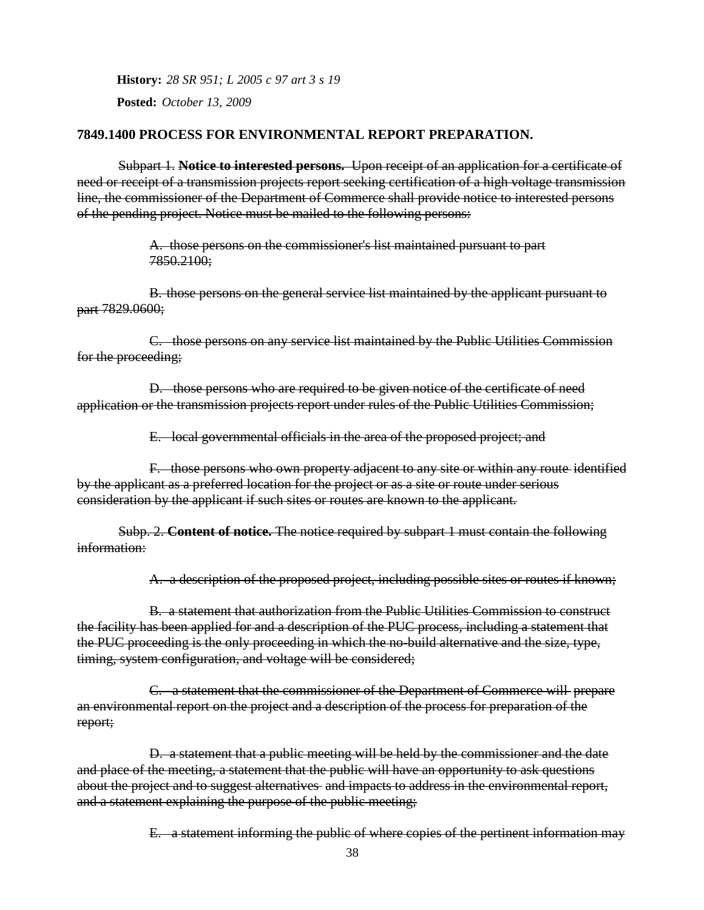**History:** *28 SR 951; L 2005 c 97 art 3 s 19*

**Posted:** *October 13, 2009*

### **7849.1400 PROCESS FOR ENVIRONMENTAL REPORT PREPARATION.**

Subpart 1. **Notice to interested persons.** Upon receipt of an application for a certificate of need or receipt of a transmission projects report seeking certification of a high voltage transmission line, the commissioner of the Department of Commerce shall provide notice to interested persons of the pending project. Notice must be mailed to the following persons:

> A. those persons on the commissioner's list maintained pursuant to part 7850.2100;

B. those persons on the general service list maintained by the applicant pursuant to part 7829.0600;

C. those persons on any service list maintained by the Public Utilities Commission for the proceeding;

D. those persons who are required to be given notice of the certificate of need application or the transmission projects report under rules of the Public Utilities Commission;

E. local governmental officials in the area of the proposed project; and

F. those persons who own property adjacent to any site or within any route identified by the applicant as a preferred location for the project or as a site or route under serious consideration by the applicant if such sites or routes are known to the applicant.

Subp. 2. **Content of notice.** The notice required by subpart 1 must contain the following information:

A. a description of the proposed project, including possible sites or routes if known;

B. a statement that authorization from the Public Utilities Commission to construct the facility has been applied for and a description of the PUC process, including a statement that the PUC proceeding is the only proceeding in which the no-build alternative and the size, type, timing, system configuration, and voltage will be considered;

C. a statement that the commissioner of the Department of Commerce will prepare an environmental report on the project and a description of the process for preparation of the report;

D. a statement that a public meeting will be held by the commissioner and the date and place of the meeting, a statement that the public will have an opportunity to ask questions about the project and to suggest alternatives and impacts to address in the environmental report, and a statement explaining the purpose of the public meeting;

E. a statement informing the public of where copies of the pertinent information may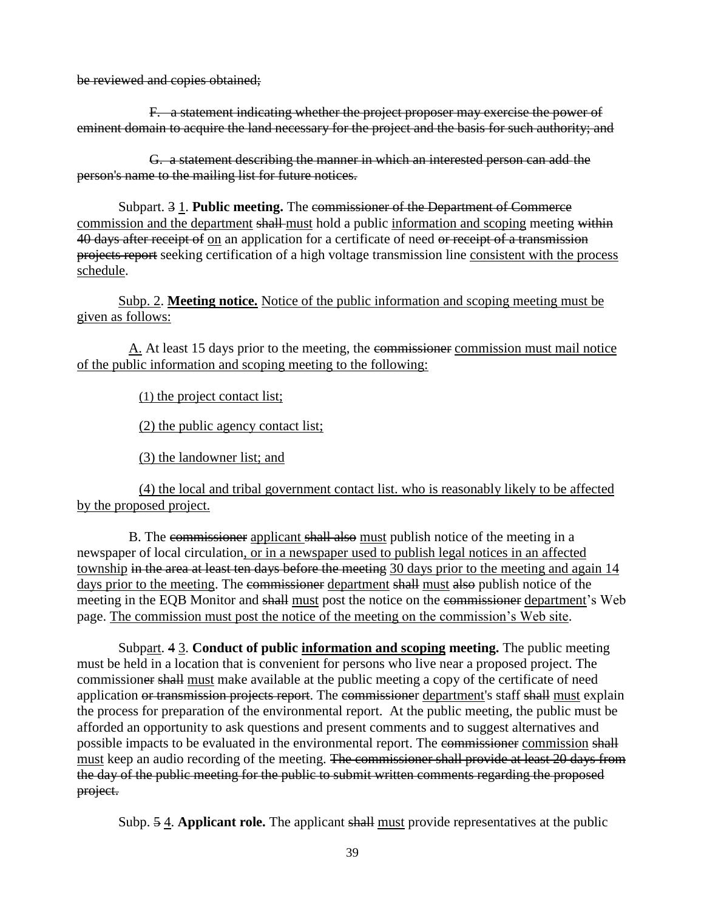be reviewed and copies obtained;

F. a statement indicating whether the project proposer may exercise the power of eminent domain to acquire the land necessary for the project and the basis for such authority; and

G. a statement describing the manner in which an interested person can add the person's name to the mailing list for future notices.

Subpart. 3 1. **Public meeting.** The commissioner of the Department of Commerce commission and the department shall-must hold a public information and scoping meeting within 40 days after receipt of on an application for a certificate of need or receipt of a transmission projects report seeking certification of a high voltage transmission line consistent with the process schedule.

Subp. 2. **Meeting notice.** Notice of the public information and scoping meeting must be given as follows:

A. At least 15 days prior to the meeting, the commissioner commission must mail notice of the public information and scoping meeting to the following:

(1) the project contact list;

(2) the public agency contact list;

(3) the landowner list; and

(4) the local and tribal government contact list. who is reasonably likely to be affected by the proposed project.

B. The commissioner applicant shall also must publish notice of the meeting in a newspaper of local circulation, or in a newspaper used to publish legal notices in an affected township in the area at least ten days before the meeting 30 days prior to the meeting and again 14 days prior to the meeting. The commissioner department shall must also publish notice of the meeting in the EQB Monitor and shall must post the notice on the commissioner department's Web page. The commission must post the notice of the meeting on the commission's Web site.

Subpart. 4 3. **Conduct of public information and scoping meeting.** The public meeting must be held in a location that is convenient for persons who live near a proposed project. The commissioner shall must make available at the public meeting a copy of the certificate of need application or transmission projects report. The commissioner department's staff shall must explain the process for preparation of the environmental report. At the public meeting, the public must be afforded an opportunity to ask questions and present comments and to suggest alternatives and possible impacts to be evaluated in the environmental report. The commissioner commission shall must keep an audio recording of the meeting. The commissioner shall provide at least 20 days from the day of the public meeting for the public to submit written comments regarding the proposed project.

Subp. 5 4. **Applicant role.** The applicant shall must provide representatives at the public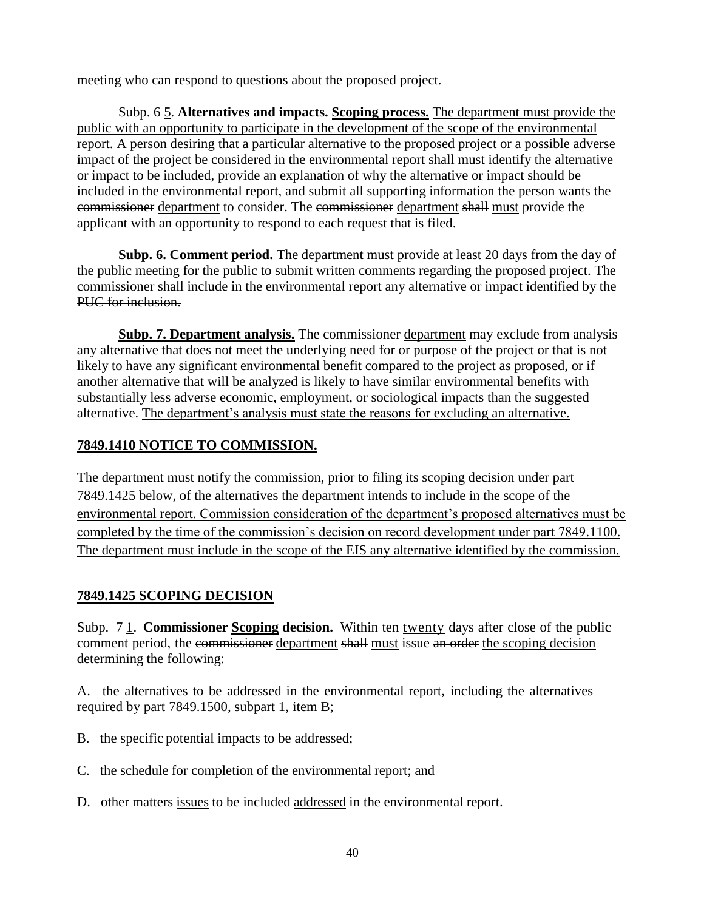meeting who can respond to questions about the proposed project.

Subp. 6 5. **Alternatives and impacts. Scoping process.** The department must provide the public with an opportunity to participate in the development of the scope of the environmental report. A person desiring that a particular alternative to the proposed project or a possible adverse impact of the project be considered in the environmental report shall must identify the alternative or impact to be included, provide an explanation of why the alternative or impact should be included in the environmental report, and submit all supporting information the person wants the commissioner department to consider. The commissioner department shall must provide the applicant with an opportunity to respond to each request that is filed.

**Subp. 6. Comment period.** The department must provide at least 20 days from the day of the public meeting for the public to submit written comments regarding the proposed project. The commissioner shall include in the environmental report any alternative or impact identified by the PUC for inclusion.

**Subp. 7. Department analysis.** The commissioner department may exclude from analysis any alternative that does not meet the underlying need for or purpose of the project or that is not likely to have any significant environmental benefit compared to the project as proposed, or if another alternative that will be analyzed is likely to have similar environmental benefits with substantially less adverse economic, employment, or sociological impacts than the suggested alternative. The department's analysis must state the reasons for excluding an alternative.

## **7849.1410 NOTICE TO COMMISSION.**

The department must notify the commission, prior to filing its scoping decision under part 7849.1425 below, of the alternatives the department intends to include in the scope of the environmental report. Commission consideration of the department's proposed alternatives must be completed by the time of the commission's decision on record development under part 7849.1100. The department must include in the scope of the EIS any alternative identified by the commission.

## **7849.1425 SCOPING DECISION**

Subp. 7 1. **Commissioner Scoping decision.** Within ten twenty days after close of the public comment period, the commissioner department shall must issue an order the scoping decision determining the following:

A. the alternatives to be addressed in the environmental report, including the alternatives required by part 7849.1500, subpart 1, item B;

- B. the specific potential impacts to be addressed;
- C. the schedule for completion of the environmental report; and
- D. other matters issues to be included addressed in the environmental report.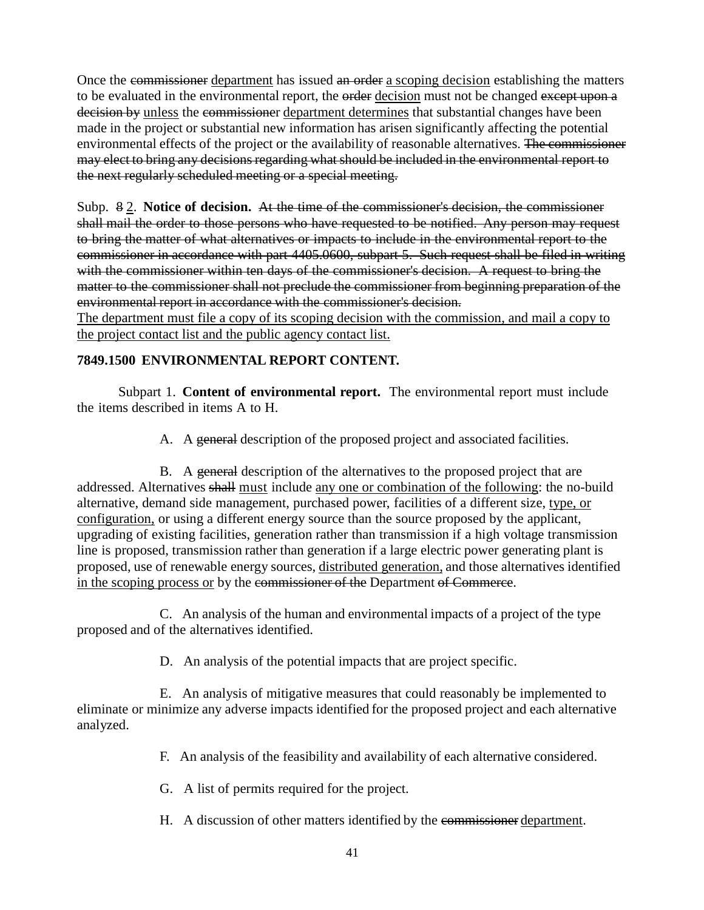Once the commissioner department has issued an order a scoping decision establishing the matters to be evaluated in the environmental report, the order decision must not be changed except upon a decision by unless the commissioner department determines that substantial changes have been made in the project or substantial new information has arisen significantly affecting the potential environmental effects of the project or the availability of reasonable alternatives. The commissioner may elect to bring any decisions regarding what should be included in the environmental report to the next regularly scheduled meeting or a special meeting.

Subp. 8 2. **Notice of decision.** At the time of the commissioner's decision, the commissioner shall mail the order to those persons who have requested to be notified. Any person may request to bring the matter of what alternatives or impacts to include in the environmental report to the commissioner in accordance with part 4405.0600, subpart 5. Such request shall be filed in writing with the commissioner within ten days of the commissioner's decision. A request to bring the matter to the commissioner shall not preclude the commissioner from beginning preparation of the environmental report in accordance with the commissioner's decision.

The department must file a copy of its scoping decision with the commission, and mail a copy to the project contact list and the public agency contact list.

## **7849.1500 ENVIRONMENTAL REPORT CONTENT.**

Subpart 1. **Content of environmental report.** The environmental report must include the items described in items A to H.

A. A general description of the proposed project and associated facilities.

B. A general description of the alternatives to the proposed project that are addressed. Alternatives shall must include any one or combination of the following: the no-build alternative, demand side management, purchased power, facilities of a different size, type, or configuration, or using a different energy source than the source proposed by the applicant, upgrading of existing facilities, generation rather than transmission if a high voltage transmission line is proposed, transmission rather than generation if a large electric power generating plant is proposed, use of renewable energy sources, distributed generation, and those alternatives identified in the scoping process or by the commissioner of the Department of Commerce.

C. An analysis of the human and environmental impacts of a project of the type proposed and of the alternatives identified.

D. An analysis of the potential impacts that are project specific.

E. An analysis of mitigative measures that could reasonably be implemented to eliminate or minimize any adverse impacts identified for the proposed project and each alternative analyzed.

F. An analysis of the feasibility and availability of each alternative considered.

G. A list of permits required for the project.

H. A discussion of other matters identified by the commissioner department.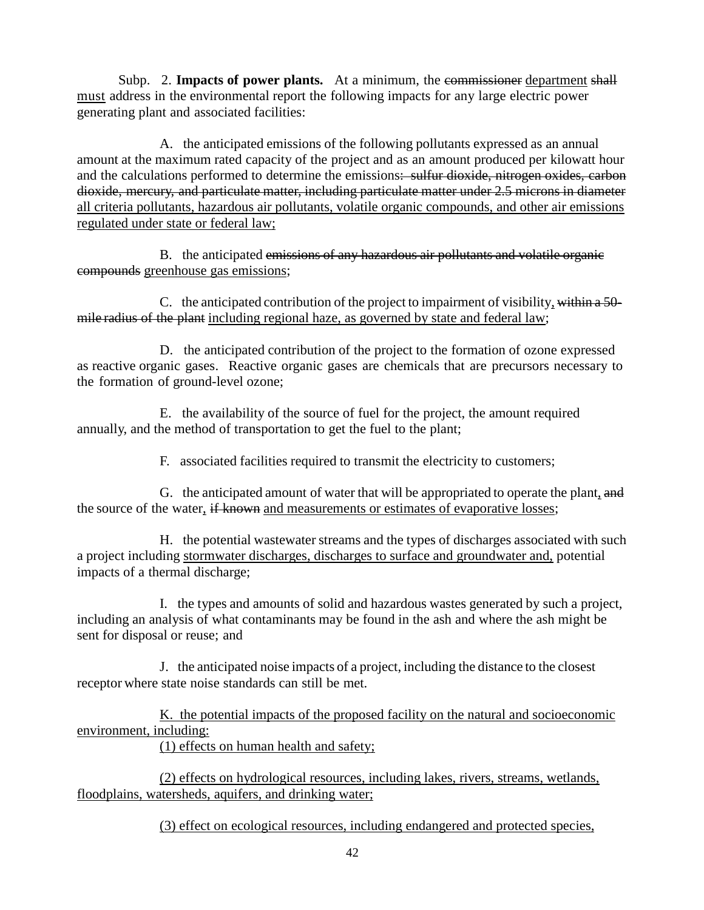Subp. 2. **Impacts of power plants.** At a minimum, the commissioner department shall must address in the environmental report the following impacts for any large electric power generating plant and associated facilities:

A. the anticipated emissions of the following pollutants expressed as an annual amount at the maximum rated capacity of the project and as an amount produced per kilowatt hour and the calculations performed to determine the emissions: sulfur dioxide, nitrogen oxides, carbon dioxide, mercury, and particulate matter, including particulate matter under 2.5 microns in diameter all criteria pollutants, hazardous air pollutants, volatile organic compounds, and other air emissions regulated under state or federal law;

B. the anticipated emissions of any hazardous air pollutants and volatile organic compounds greenhouse gas emissions;

C. the anticipated contribution of the project to impairment of visibility, within a 50 mile radius of the plant including regional haze, as governed by state and federal law;

D. the anticipated contribution of the project to the formation of ozone expressed as reactive organic gases. Reactive organic gases are chemicals that are precursors necessary to the formation of ground-level ozone;

E. the availability of the source of fuel for the project, the amount required annually, and the method of transportation to get the fuel to the plant;

F. associated facilities required to transmit the electricity to customers;

G. the anticipated amount of water that will be appropriated to operate the plant, and the source of the water, if known and measurements or estimates of evaporative losses;

H. the potential wastewater streams and the types of discharges associated with such a project including stormwater discharges, discharges to surface and groundwater and, potential impacts of a thermal discharge;

I. the types and amounts of solid and hazardous wastes generated by such a project, including an analysis of what contaminants may be found in the ash and where the ash might be sent for disposal or reuse; and

J. the anticipated noise impacts of a project, including the distance to the closest receptor where state noise standards can still be met.

K. the potential impacts of the proposed facility on the natural and socioeconomic environment, including:

(1) effects on human health and safety;

(2) effects on hydrological resources, including lakes, rivers, streams, wetlands, floodplains, watersheds, aquifers, and drinking water;

(3) effect on ecological resources, including endangered and protected species,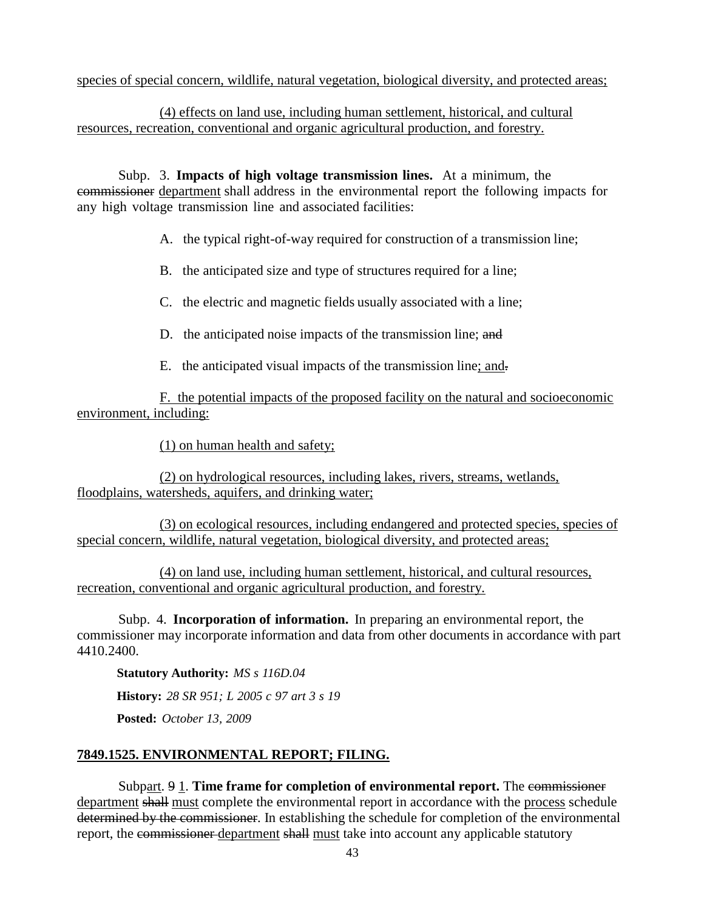species of special concern, wildlife, natural vegetation, biological diversity, and protected areas;

(4) effects on land use, including human settlement, historical, and cultural resources, recreation, conventional and organic agricultural production, and forestry.

Subp. 3. **Impacts of high voltage transmission lines.** At a minimum, the commissioner department shall address in the environmental report the following impacts for any high voltage transmission line and associated facilities:

A. the typical right-of-way required for construction of a transmission line;

B. the anticipated size and type of structures required for a line;

C. the electric and magnetic fields usually associated with a line;

- D. the anticipated noise impacts of the transmission line; and
- E. the anticipated visual impacts of the transmission line; and.

F. the potential impacts of the proposed facility on the natural and socioeconomic environment, including:

(1) on human health and safety;

(2) on hydrological resources, including lakes, rivers, streams, wetlands, floodplains, watersheds, aquifers, and drinking water;

(3) on ecological resources, including endangered and protected species, species of special concern, wildlife, natural vegetation, biological diversity, and protected areas;

(4) on land use, including human settlement, historical, and cultural resources, recreation, conventional and organic agricultural production, and forestry.

Subp. 4. **Incorporation of information.** In preparing an environmental report, the commissioner may incorporate information and data from other documents in accordance with part 4410.2400.

**Statutory Authority:** *MS s 116D.04* **History:** *28 SR 951; L 2005 c 97 art 3 s 19* **Posted:** *October 13, 2009*

## **7849.1525. ENVIRONMENTAL REPORT; FILING.**

Subpart. 9 1. **Time frame for completion of environmental report.** The commissioner department shall must complete the environmental report in accordance with the process schedule determined by the commissioner. In establishing the schedule for completion of the environmental report, the commissioner department shall must take into account any applicable statutory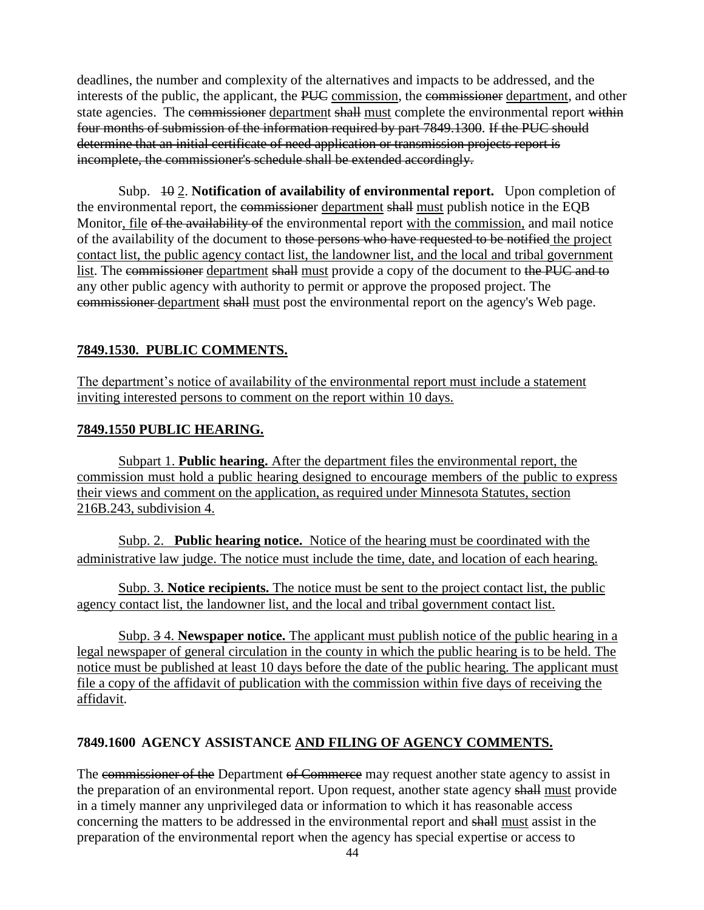deadlines, the number and complexity of the alternatives and impacts to be addressed, and the interests of the public, the applicant, the PUC commission, the commissioner department, and other state agencies. The commissioner department shall must complete the environmental report within four months of submission of the information required by part 7849.1300. If the PUC should determine that an initial certificate of need application or transmission projects report is incomplete, the commissioner's schedule shall be extended accordingly.

Subp. 10 2. **Notification of availability of environmental report.** Upon completion of the environmental report, the commissioner department shall must publish notice in the EQB Monitor, file of the availability of the environmental report with the commission, and mail notice of the availability of the document to those persons who have requested to be notified the project contact list, the public agency contact list, the landowner list, and the local and tribal government list. The commissioner department shall must provide a copy of the document to the PUC and to any other public agency with authority to permit or approve the proposed project. The commissioner department shall must post the environmental report on the agency's Web page.

# **7849.1530. PUBLIC COMMENTS.**

The department's notice of availability of the environmental report must include a statement inviting interested persons to comment on the report within 10 days.

## **7849.1550 PUBLIC HEARING.**

Subpart 1. **Public hearing.** After the department files the environmental report, the commission must hold a public hearing designed to encourage members of the public to express their views and comment on the application, as required under Minnesota Statutes, section 216B.243, subdivision 4.

Subp. 2. **Public hearing notice.** Notice of the hearing must be coordinated with the administrative law judge. The notice must include the time, date, and location of each hearing.

Subp. 3. **Notice recipients.** The notice must be sent to the project contact list, the public agency contact list, the landowner list, and the local and tribal government contact list.

Subp. 3 4. **Newspaper notice.** The applicant must publish notice of the public hearing in a legal newspaper of general circulation in the county in which the public hearing is to be held. The notice must be published at least 10 days before the date of the public hearing. The applicant must file a copy of the affidavit of publication with the commission within five days of receiving the affidavit.

# **7849.1600 AGENCY ASSISTANCE AND FILING OF AGENCY COMMENTS.**

The commissioner of the Department of Commerce may request another state agency to assist in the preparation of an environmental report. Upon request, another state agency shall must provide in a timely manner any unprivileged data or information to which it has reasonable access concerning the matters to be addressed in the environmental report and shall must assist in the preparation of the environmental report when the agency has special expertise or access to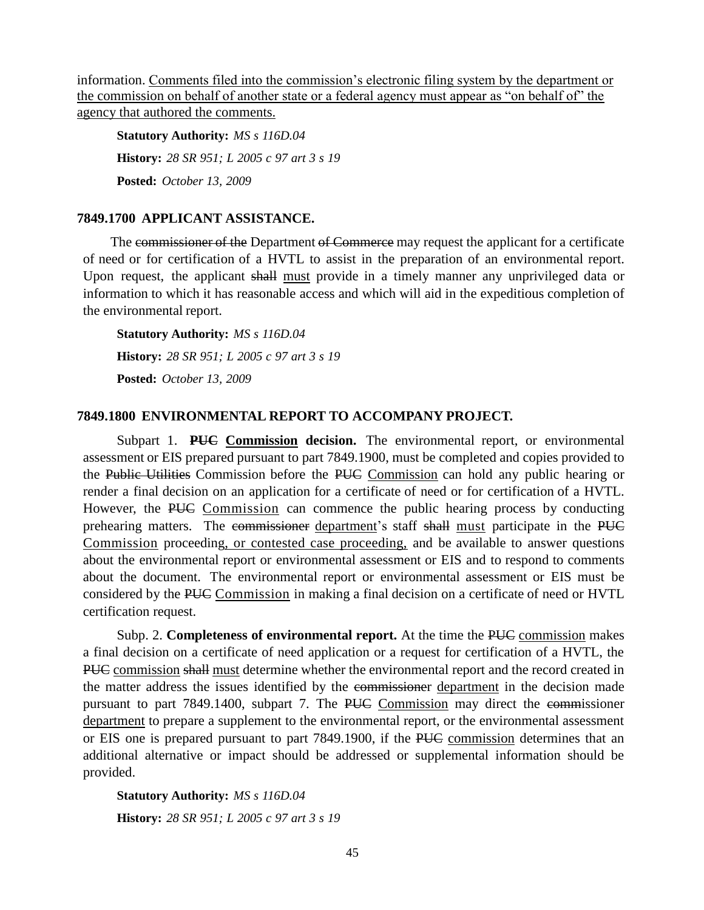information. Comments filed into the commission's electronic filing system by the department or the commission on behalf of another state or a federal agency must appear as "on behalf of" the agency that authored the comments.

**Statutory Authority:** *MS s 116D.04* **History:** *28 SR 951; L 2005 c 97 art 3 s 19* **Posted:** *October 13, 2009*

### **7849.1700 APPLICANT ASSISTANCE.**

The commissioner of the Department of Commerce may request the applicant for a certificate of need or for certification of a HVTL to assist in the preparation of an environmental report. Upon request, the applicant shall must provide in a timely manner any unprivileged data or information to which it has reasonable access and which will aid in the expeditious completion of the environmental report.

**Statutory Authority:** *MS s 116D.04* **History:** *28 SR 951; L 2005 c 97 art 3 s 19* **Posted:** *October 13, 2009*

### **7849.1800 ENVIRONMENTAL REPORT TO ACCOMPANY PROJECT.**

Subpart 1. **PUC Commission decision.** The environmental report, or environmental assessment or EIS prepared pursuant to part 7849.1900, must be completed and copies provided to the Public Utilities Commission before the PUC Commission can hold any public hearing or render a final decision on an application for a certificate of need or for certification of a HVTL. However, the PUC Commission can commence the public hearing process by conducting prehearing matters. The commissioner department's staff shall must participate in the PUC Commission proceeding, or contested case proceeding, and be available to answer questions about the environmental report or environmental assessment or EIS and to respond to comments about the document. The environmental report or environmental assessment or EIS must be considered by the PUC Commission in making a final decision on a certificate of need or HVTL certification request.

Subp. 2. **Completeness of environmental report.** At the time the PUC commission makes a final decision on a certificate of need application or a request for certification of a HVTL, the PUC commission shall must determine whether the environmental report and the record created in the matter address the issues identified by the commissioner department in the decision made pursuant to part 7849.1400, subpart 7. The PUC Commission may direct the commissioner department to prepare a supplement to the environmental report, or the environmental assessment or EIS one is prepared pursuant to part 7849.1900, if the PUC commission determines that an additional alternative or impact should be addressed or supplemental information should be provided.

**Statutory Authority:** *MS s 116D.04* **History:** *28 SR 951; L 2005 c 97 art 3 s 19*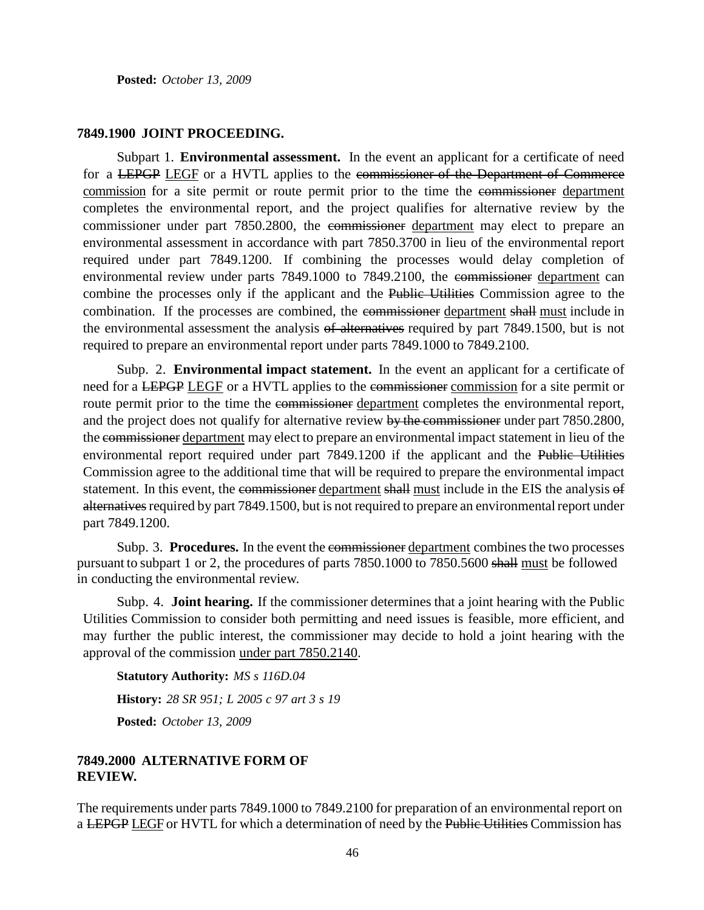**Posted:** *October 13, 2009*

#### **7849.1900 JOINT PROCEEDING.**

Subpart 1. **Environmental assessment.** In the event an applicant for a certificate of need for a LEPGP LEGF or a HVTL applies to the commissioner of the Department of Commerce commission for a site permit or route permit prior to the time the commissioner department completes the environmental report, and the project qualifies for alternative review by the commissioner under part 7850.2800, the commissioner department may elect to prepare an environmental assessment in accordance with part 7850.3700 in lieu of the environmental report required under part 7849.1200. If combining the processes would delay completion of environmental review under parts 7849.1000 to 7849.2100, the commissioner department can combine the processes only if the applicant and the Public Utilities Commission agree to the combination. If the processes are combined, the commissioner department shall must include in the environmental assessment the analysis of alternatives required by part 7849.1500, but is not required to prepare an environmental report under parts 7849.1000 to 7849.2100.

Subp. 2. **Environmental impact statement.** In the event an applicant for a certificate of need for a LEPGP LEGF or a HVTL applies to the commissioner commission for a site permit or route permit prior to the time the commissioner department completes the environmental report, and the project does not qualify for alternative review by the commissioner under part 7850.2800, the commissioner department may elect to prepare an environmental impact statement in lieu of the environmental report required under part 7849.1200 if the applicant and the Public Utilities Commission agree to the additional time that will be required to prepare the environmental impact statement. In this event, the commissioner department shall must include in the EIS the analysis of alternatives required by part 7849.1500, but is not required to prepare an environmental report under part 7849.1200.

Subp. 3. **Procedures.** In the event the commissioner department combines the two processes pursuant to subpart 1 or 2, the procedures of parts 7850.1000 to 7850.5600 shall must be followed in conducting the environmental review.

Subp. 4. **Joint hearing.** If the commissioner determines that a joint hearing with the Public Utilities Commission to consider both permitting and need issues is feasible, more efficient, and may further the public interest, the commissioner may decide to hold a joint hearing with the approval of the commission under part 7850.2140.

**Statutory Authority:** *MS s 116D.04* **History:** *28 SR 951; L 2005 c 97 art 3 s 19* **Posted:** *October 13, 2009*

### **7849.2000 ALTERNATIVE FORM OF REVIEW.**

The requirements under parts 7849.1000 to 7849.2100 for preparation of an environmental report on a LEPGP LEGF or HVTL for which a determination of need by the Public Utilities Commission has